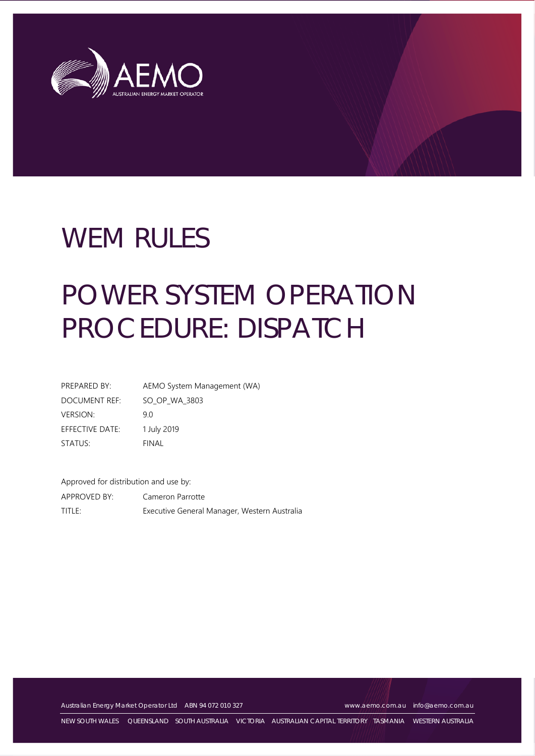

# WEM RULES

# POWER SYSTEM OPERATION PROCEDURE: DISPATCH

| PREPARED BY:    | AEMO System Management (WA) |
|-----------------|-----------------------------|
| DOCUMENT REF:   | SO OP WA 3803               |
| <b>VERSION:</b> | 9 N                         |
| EFFECTIVE DATE: | 1 July 2019                 |
| STATUS:         | FINAL                       |

Approved for distribution and use by: APPROVED BY: Cameron Parrotte TITLE: Executive General Manager, Western Australia

Australian Energy Market Operator Ltd ABN 94 072 010 327 [www.aemo.com.au](http://www.aemo.com.au/) [info@aemo.com.au](mailto:info@aemo.com.au)

NEW SOUTH WALES QUEENSLAND SOUTH AUSTRALIA VICTORIA AUSTRALIAN CAPITAL TERRITORY TASMANIA WESTERN AUSTRALIA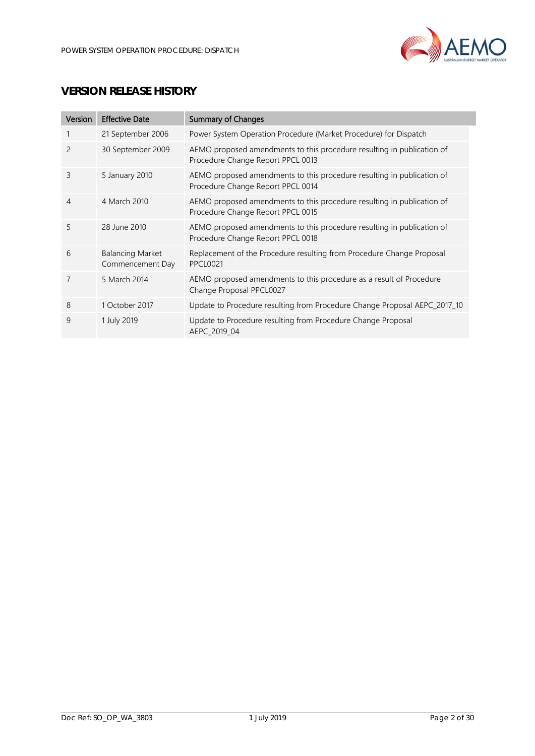

# **VERSION RELEASE HISTORY**

| Version        | <b>Effective Date</b>                       | <b>Summary of Changes</b>                                                                                   |
|----------------|---------------------------------------------|-------------------------------------------------------------------------------------------------------------|
|                | 21 September 2006                           | Power System Operation Procedure (Market Procedure) for Dispatch                                            |
| $\overline{c}$ | 30 September 2009                           | AEMO proposed amendments to this procedure resulting in publication of<br>Procedure Change Report PPCL 0013 |
| 3              | 5 January 2010                              | AEMO proposed amendments to this procedure resulting in publication of<br>Procedure Change Report PPCL 0014 |
| 4              | 4 March 2010                                | AEMO proposed amendments to this procedure resulting in publication of<br>Procedure Change Report PPCL 0015 |
| 5              | 28 June 2010                                | AEMO proposed amendments to this procedure resulting in publication of<br>Procedure Change Report PPCL 0018 |
| 6              | <b>Balancing Market</b><br>Commencement Day | Replacement of the Procedure resulting from Procedure Change Proposal<br><b>PPCL0021</b>                    |
| 7              | 5 March 2014                                | AEMO proposed amendments to this procedure as a result of Procedure<br>Change Proposal PPCL0027             |
| 8              | 1 October 2017                              | Update to Procedure resulting from Procedure Change Proposal AEPC_2017_10                                   |
| 9              | 1 July 2019                                 | Update to Procedure resulting from Procedure Change Proposal<br>AEPC 2019 04                                |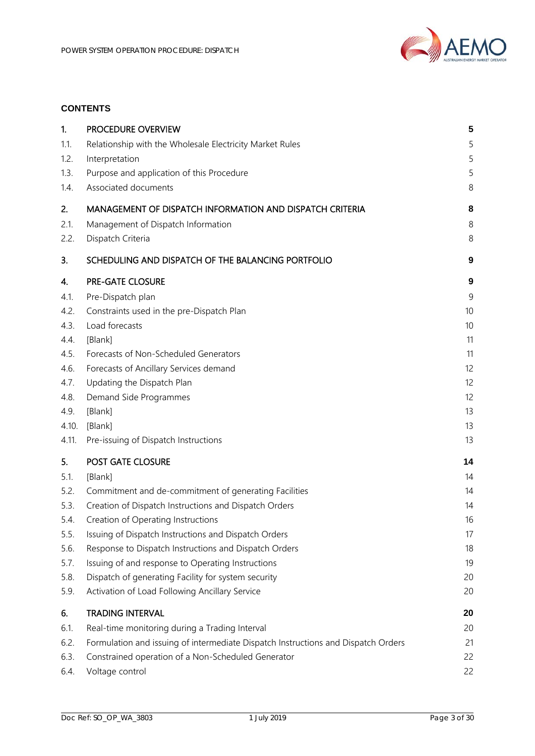

# **CONTENTS**

| 1.           | PROCEDURE OVERVIEW                                                                                       | 5                |
|--------------|----------------------------------------------------------------------------------------------------------|------------------|
| 1.1.         | Relationship with the Wholesale Electricity Market Rules                                                 | 5                |
| 1.2.         | Interpretation                                                                                           | 5                |
| 1.3.         | Purpose and application of this Procedure                                                                | 5                |
| 1.4.         | Associated documents                                                                                     | 8                |
| 2.           | MANAGEMENT OF DISPATCH INFORMATION AND DISPATCH CRITERIA                                                 | 8                |
| 2.1.         | Management of Dispatch Information                                                                       | 8                |
| 2.2.         | Dispatch Criteria                                                                                        | 8                |
| 3.           | SCHEDULING AND DISPATCH OF THE BALANCING PORTFOLIO                                                       | 9                |
| 4.           | PRE-GATE CLOSURE                                                                                         | $\boldsymbol{9}$ |
| 4.1.         | Pre-Dispatch plan                                                                                        | 9                |
| 4.2.         | Constraints used in the pre-Dispatch Plan                                                                | 10 <sup>°</sup>  |
| 4.3.         | Load forecasts                                                                                           | 10               |
| 4.4.         | [Blank]                                                                                                  | 11               |
| 4.5.         | Forecasts of Non-Scheduled Generators                                                                    | 11               |
| 4.6.         | Forecasts of Ancillary Services demand                                                                   | 12               |
| 4.7.         | Updating the Dispatch Plan                                                                               | 12               |
| 4.8.         | Demand Side Programmes                                                                                   | 12               |
| 4.9.         | [Blank]                                                                                                  | 13               |
| 4.10.        | [Blank]                                                                                                  | 13               |
| 4.11.        | Pre-issuing of Dispatch Instructions                                                                     | 13               |
| 5.           | POST GATE CLOSURE                                                                                        | 14               |
| 5.1.         | [Blank]                                                                                                  | 14               |
| 5.2.         | Commitment and de-commitment of generating Facilities                                                    | 14               |
| 5.3.         | Creation of Dispatch Instructions and Dispatch Orders                                                    | 14               |
| 5.4.         | Creation of Operating Instructions                                                                       | 16               |
| 5.5.         | Issuing of Dispatch Instructions and Dispatch Orders                                                     | 17               |
| 5.6.         | Response to Dispatch Instructions and Dispatch Orders                                                    | 18               |
| 5.7.<br>5.8. | Issuing of and response to Operating Instructions<br>Dispatch of generating Facility for system security | 19<br>20         |
| 5.9.         | Activation of Load Following Ancillary Service                                                           | 20               |
| 6.           | <b>TRADING INTERVAL</b>                                                                                  | 20               |
| 6.1.         | Real-time monitoring during a Trading Interval                                                           | 20               |
| 6.2.         | Formulation and issuing of intermediate Dispatch Instructions and Dispatch Orders                        | 21               |
| 6.3.         | Constrained operation of a Non-Scheduled Generator                                                       | 22               |
| 6.4.         | Voltage control                                                                                          | 22               |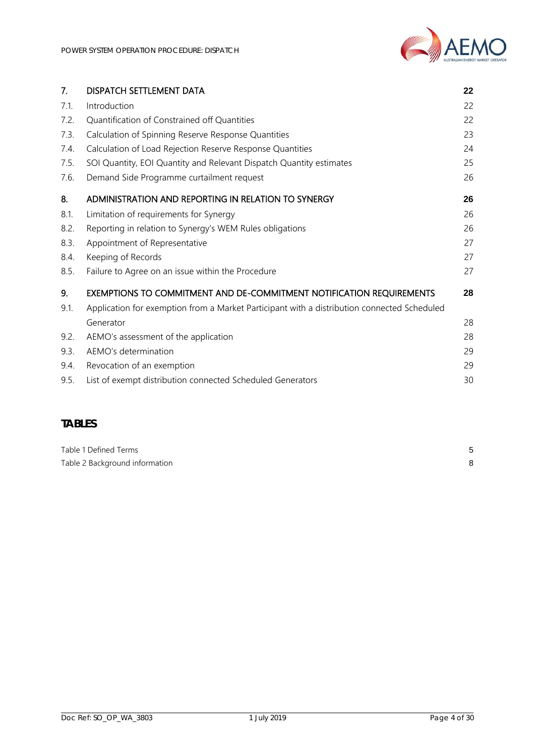| 7.   | DISPATCH SETTLEMENT DATA                                                                    | 22 |
|------|---------------------------------------------------------------------------------------------|----|
| 7.1. | Introduction                                                                                | 22 |
| 7.2. | Quantification of Constrained off Quantities                                                | 22 |
| 7.3. | Calculation of Spinning Reserve Response Quantities                                         | 23 |
| 7.4. | Calculation of Load Rejection Reserve Response Quantities                                   | 24 |
| 7.5. | SOI Quantity, EOI Quantity and Relevant Dispatch Quantity estimates                         | 25 |
| 7.6. | Demand Side Programme curtailment request                                                   | 26 |
| 8.   | ADMINISTRATION AND REPORTING IN RELATION TO SYNERGY                                         | 26 |
| 8.1. | Limitation of requirements for Synergy                                                      | 26 |
| 8.2. | Reporting in relation to Synergy's WEM Rules obligations                                    | 26 |
| 8.3. | Appointment of Representative                                                               | 27 |
| 8.4. | Keeping of Records                                                                          | 27 |
| 8.5. | Failure to Agree on an issue within the Procedure                                           | 27 |
| 9.   | EXEMPTIONS TO COMMITMENT AND DE-COMMITMENT NOTIFICATION REQUIREMENTS                        | 28 |
| 9.1. | Application for exemption from a Market Participant with a distribution connected Scheduled |    |
|      | Generator                                                                                   | 28 |
| 9.2. | AEMO's assessment of the application                                                        | 28 |
| 9.3. | AEMO's determination                                                                        | 29 |
| 9.4. | Revocation of an exemption                                                                  | 29 |
| 9.5. | List of exempt distribution connected Scheduled Generators                                  | 30 |

# **TABLES**

| Table 1 Defined Terms          |  |
|--------------------------------|--|
| Table 2 Background information |  |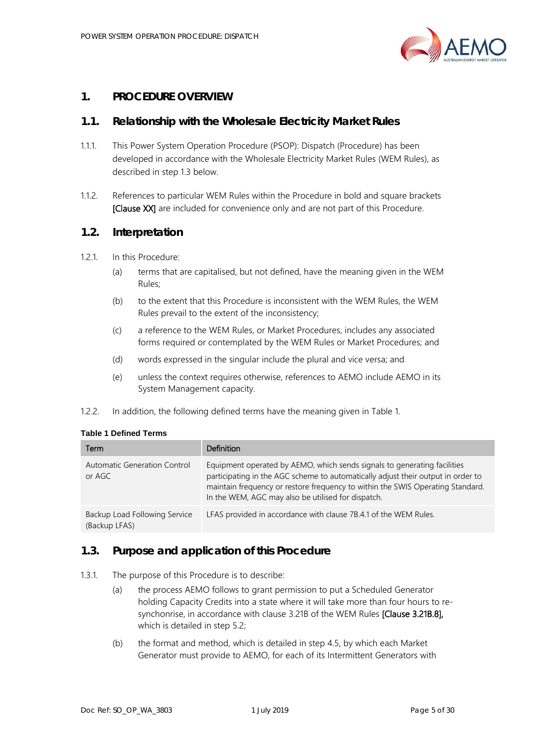

# <span id="page-4-0"></span>**1. PROCEDURE OVERVIEW**

#### <span id="page-4-1"></span>**1.1. Relationship with the Wholesale Electricity Market Rules**

- 1.1.1. This Power System Operation Procedure (PSOP): Dispatch (Procedure) has been developed in accordance with the Wholesale Electricity Market Rules (WEM Rules), as described in step [1.3](#page-4-3) below.
- 1.1.2. References to particular WEM Rules within the Procedure in bold and square brackets [Clause XX] are included for convenience only and are not part of this Procedure.

#### <span id="page-4-2"></span>**1.2. Interpretation**

- 1.2.1. In this Procedure:
	- (a) terms that are capitalised, but not defined, have the meaning given in the WEM Rules;
	- (b) to the extent that this Procedure is inconsistent with the WEM Rules, the WEM Rules prevail to the extent of the inconsistency;
	- (c) a reference to the WEM Rules, or Market Procedures, includes any associated forms required or contemplated by the WEM Rules or Market Procedures; and
	- (d) words expressed in the singular include the plural and vice versa; and
	- (e) unless the context requires otherwise, references to AEMO include AEMO in its System Management capacity.
- 1.2.2. In addition, the following defined terms have the meaning given in [Table 1.](#page-4-4)

<span id="page-4-4"></span>

| Term                                           | Definition                                                                                                                                                                                                                                                                                           |
|------------------------------------------------|------------------------------------------------------------------------------------------------------------------------------------------------------------------------------------------------------------------------------------------------------------------------------------------------------|
| Automatic Generation Control<br>or AGC         | Equipment operated by AEMO, which sends signals to generating facilities<br>participating in the AGC scheme to automatically adjust their output in order to<br>maintain frequency or restore frequency to within the SWIS Operating Standard.<br>In the WEM, AGC may also be utilised for dispatch. |
| Backup Load Following Service<br>(Backup LFAS) | LFAS provided in accordance with clause 7B.4.1 of the WEM Rules.                                                                                                                                                                                                                                     |

#### <span id="page-4-3"></span>**1.3. Purpose and application of this Procedure**

- <span id="page-4-5"></span>1.3.1. The purpose of this Procedure is to describe:
	- (a) the process AEMO follows to grant permission to put a Scheduled Generator holding Capacity Credits into a state where it will take more than four hours to resynchonrise, in accordance with clause 3.21B of the WEM Rules [Clause 3.21B.8], which is detailed in ste[p 5.2;](#page-13-2)
	- (b) the format and method, which is detailed in step [4.5,](#page-10-1) by which each Market Generator must provide to AEMO, for each of its Intermittent Generators with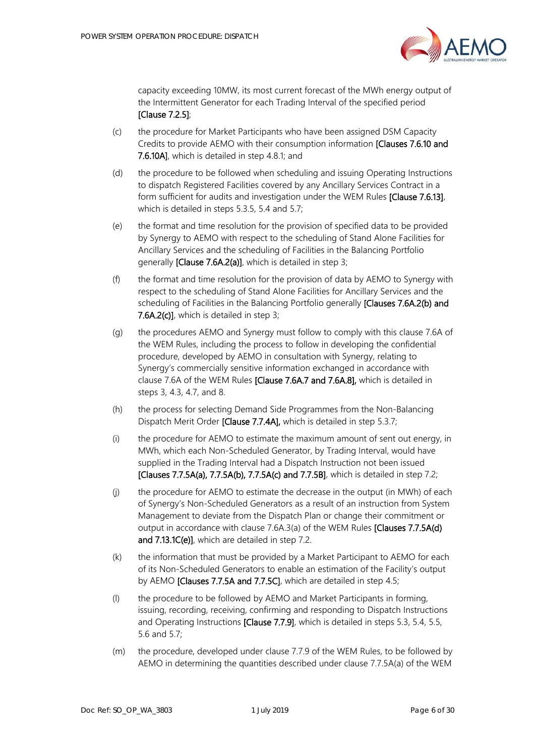

capacity exceeding 10MW, its most current forecast of the MWh energy output of the Intermittent Generator for each Trading Interval of the specified period [Clause 7.2.5];

- (c) the procedure for Market Participants who have been assigned DSM Capacity Credits to provide AEMO with their consumption information [Clauses 7.6.10 and 7.6.10A], which is detailed in step [4.8.1;](#page-11-3) and
- (d) the procedure to be followed when scheduling and issuing Operating Instructions to dispatch Registered Facilities covered by any Ancillary Services Contract in a form sufficient for audits and investigation under the WEM Rules [Clause 7.6.13], which is detailed in step[s 5.3.5,](#page-14-0) [5.4](#page-15-0) and [5.7;](#page-18-0)
- (e) the format and time resolution for the provision of specified data to be provided by Synergy to AEMO with respect to the scheduling of Stand Alone Facilities for Ancillary Services and the scheduling of Facilities in the Balancing Portfolio generally [Clause 7.6A.2(a)], which is detailed in step [3;](#page-8-0)
- (f) the format and time resolution for the provision of data by AEMO to Synergy with respect to the scheduling of Stand Alone Facilities for Ancillary Services and the scheduling of Facilities in the Balancing Portfolio generally [Clauses 7.6A.2(b) and 7.6A.2(c)], which is detailed in step [3;](#page-8-0)
- (g) the procedures AEMO and Synergy must follow to comply with this clause 7.6A of the WEM Rules, including the process to follow in developing the confidential procedure, developed by AEMO in consultation with Synergy, relating to Synergy's commercially sensitive information exchanged in accordance with clause 7.6A of the WEM Rules [Clause 7.6A.7 and 7.6A.8], which is detailed in steps [3,](#page-8-0) [4.3,](#page-9-1) [4.7,](#page-11-1) and [8.](#page-25-1)
- (h) the process for selecting Demand Side Programmes from the Non-Balancing Dispatch Merit Order [Clause 7.7.4A], which is detailed in step [5.3.7;](#page-14-1)
- (i) the procedure for AEMO to estimate the maximum amount of sent out energy, in MWh, which each Non-Scheduled Generator, by Trading Interval, would have supplied in the Trading Interval had a Dispatch Instruction not been issued [Clauses 7.7.5A(a), 7.7.5A(b), 7.7.5A(c) and 7.7.5B], which is detailed in step [7.2;](#page-21-4)
- (j) the procedure for AEMO to estimate the decrease in the output (in MWh) of each of Synergy's Non-Scheduled Generators as a result of an instruction from System Management to deviate from the Dispatch Plan or change their commitment or output in accordance with clause 7.6A.3(a) of the WEM Rules [Clauses 7.7.5A(d) and 7.13.1C(e)], which are detailed in step [7.2.](#page-21-4)
- (k) the information that must be provided by a Market Participant to AEMO for each of its Non-Scheduled Generators to enable an estimation of the Facility's output by AEMO [Clauses 7.7.5A and 7.7.5C], which are detailed in step [4.5;](#page-10-1)
- (l) the procedure to be followed by AEMO and Market Participants in forming, issuing, recording, receiving, confirming and responding to Dispatch Instructions and Operating Instructions [Clause 7.7.9], which is detailed in steps [5.3,](#page-13-3) [5.4,](#page-15-0) [5.5,](#page-16-0) [5.6](#page-17-0) and [5.7;](#page-18-0)
- (m) the procedure, developed under clause 7.7.9 of the WEM Rules, to be followed by AEMO in determining the quantities described under clause 7.7.5A(a) of the WEM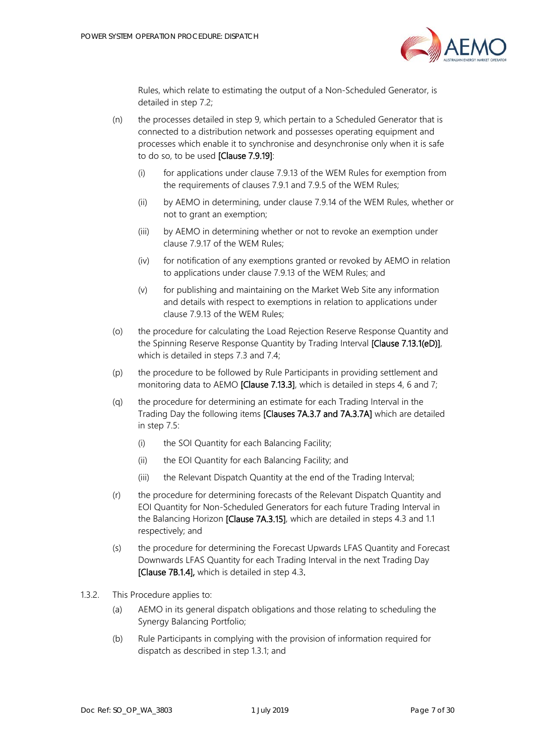

Rules, which relate to estimating the output of a Non-Scheduled Generator, is detailed in step [7.2;](#page-21-4)

- (n) the processes detailed in step [9,](#page-27-0) which pertain to a Scheduled Generator that is connected to a distribution network and possesses operating equipment and processes which enable it to synchronise and desynchronise only when it is safe to do so, to be used [Clause 7.9.19]:
	- (i) for applications under clause 7.9.13 of the WEM Rules for exemption from the requirements of clauses 7.9.1 and 7.9.5 of the WEM Rules;
	- (ii) by AEMO in determining, under clause 7.9.14 of the WEM Rules, whether or not to grant an exemption;
	- (iii) by AEMO in determining whether or not to revoke an exemption under clause 7.9.17 of the WEM Rules;
	- (iv) for notification of any exemptions granted or revoked by AEMO in relation to applications under clause 7.9.13 of the WEM Rules; and
	- (v) for publishing and maintaining on the Market Web Site any information and details with respect to exemptions in relation to applications under clause 7.9.13 of the WEM Rules;
- (o) the procedure for calculating the Load Rejection Reserve Response Quantity and the Spinning Reserve Response Quantity by Trading Interval [Clause 7.13.1(eD)], which is detailed in step[s 7.3](#page-22-0) and [7.4;](#page-23-0)
- (p) the procedure to be followed by Rule Participants in providing settlement and monitoring data to AEMO [Clause 7.13.3], which is detailed in steps [4,](#page-8-1) [6](#page-19-2) an[d 7;](#page-21-2)
- (q) the procedure for determining an estimate for each Trading Interval in the Trading Day the following items [Clauses 7A.3.7 and 7A.3.7A] which are detailed in step [7.5:](#page-24-0)
	- (i) the SOI Quantity for each Balancing Facility;
	- (ii) the EOI Quantity for each Balancing Facility; and
	- (iii) the Relevant Dispatch Quantity at the end of the Trading Interval;
- (r) the procedure for determining forecasts of the Relevant Dispatch Quantity and EOI Quantity for Non-Scheduled Generators for each future Trading Interval in the Balancing Horizon [Clause 7A.3.15], which are detailed in steps [4.3](#page-9-1) and [1.1](#page-10-1) respectively; and
- (s) the procedure for determining the Forecast Upwards LFAS Quantity and Forecast Downwards LFAS Quantity for each Trading Interval in the next Trading Day [Clause 7B.1.4], which is detailed in ste[p 4.3.](#page-9-1)
- 1.3.2. This Procedure applies to:
	- (a) AEMO in its general dispatch obligations and those relating to scheduling the Synergy Balancing Portfolio;
	- (b) Rule Participants in complying with the provision of information required for dispatch as described in step [1.3.1;](#page-4-5) and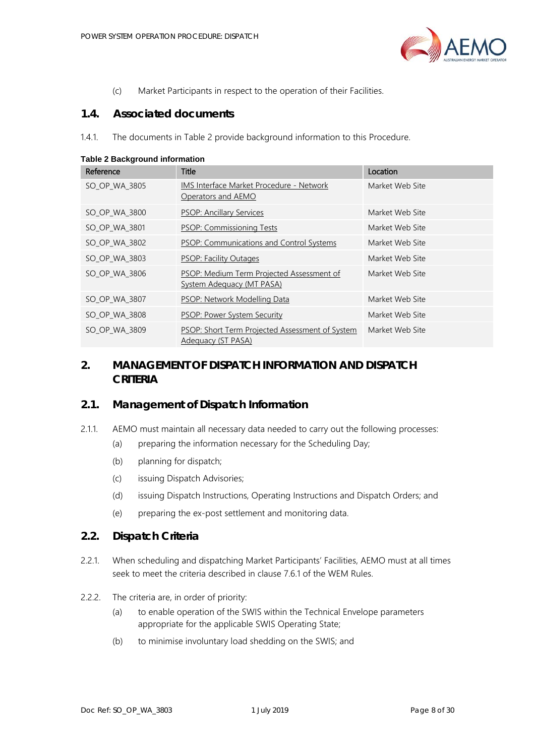

(c) Market Participants in respect to the operation of their Facilities.

#### <span id="page-7-0"></span>**1.4. Associated documents**

1.4.1. The documents in [Table 2](#page-7-4) provide background information to this Procedure.

| Reference     | <b>Title</b>                                                                  | Location        |  |
|---------------|-------------------------------------------------------------------------------|-----------------|--|
| SO OP WA 3805 | IMS Interface Market Procedure - Network<br>Operators and AEMO                | Market Web Site |  |
| SO_OP_WA_3800 | <b>PSOP: Ancillary Services</b>                                               | Market Web Site |  |
| SO_OP_WA_3801 | <b>PSOP: Commissioning Tests</b>                                              | Market Web Site |  |
| SO_OP_WA_3802 | <b>PSOP: Communications and Control Systems</b>                               | Market Web Site |  |
| SO OP WA 3803 | <b>PSOP: Facility Outages</b>                                                 | Market Web Site |  |
| SO OP WA 3806 | PSOP: Medium Term Projected Assessment of<br><b>System Adequacy (MT PASA)</b> | Market Web Site |  |
| SO_OP_WA_3807 | PSOP: Network Modelling Data                                                  | Market Web Site |  |
| SO_OP_WA_3808 | PSOP: Power System Security                                                   | Market Web Site |  |
| SO OP WA 3809 | PSOP: Short Term Projected Assessment of System<br>Adequacy (ST PASA)         | Market Web Site |  |

<span id="page-7-4"></span>**Table 2 Background information**

# <span id="page-7-1"></span>**2. MANAGEMENT OF DISPATCH INFORMATION AND DISPATCH CRITERIA**

#### <span id="page-7-2"></span>**2.1. Management of Dispatch Information**

- 2.1.1. AEMO must maintain all necessary data needed to carry out the following processes:
	- (a) preparing the information necessary for the Scheduling Day;
	- (b) planning for dispatch;
	- (c) issuing Dispatch Advisories;
	- (d) issuing Dispatch Instructions, Operating Instructions and Dispatch Orders; and
	- (e) preparing the ex-post settlement and monitoring data.

## <span id="page-7-3"></span>**2.2. Dispatch Criteria**

- 2.2.1. When scheduling and dispatching Market Participants' Facilities, AEMO must at all times seek to meet the criteria described in clause 7.6.1 of the WEM Rules.
- 2.2.2. The criteria are, in order of priority:
	- (a) to enable operation of the SWIS within the Technical Envelope parameters appropriate for the applicable SWIS Operating State;
	- (b) to minimise involuntary load shedding on the SWIS; and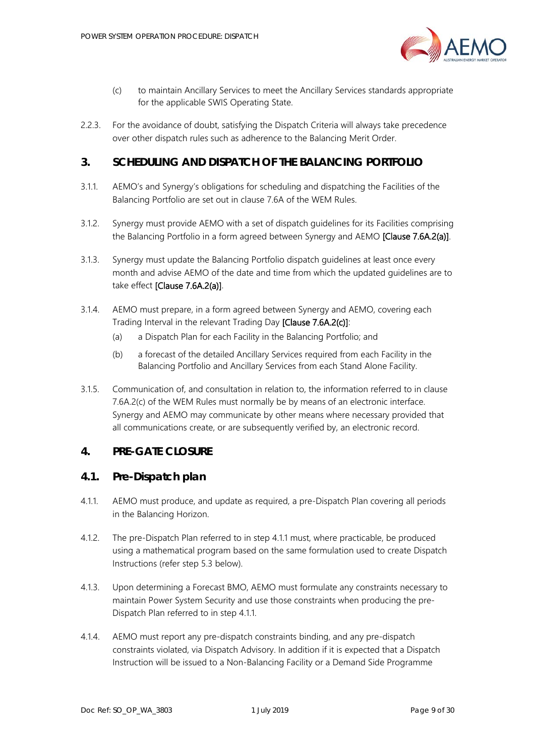

- (c) to maintain Ancillary Services to meet the Ancillary Services standards appropriate for the applicable SWIS Operating State.
- 2.2.3. For the avoidance of doubt, satisfying the Dispatch Criteria will always take precedence over other dispatch rules such as adherence to the Balancing Merit Order.

## <span id="page-8-0"></span>**3. SCHEDULING AND DISPATCH OF THE BALANCING PORTFOLIO**

- 3.1.1. AEMO's and Synergy's obligations for scheduling and dispatching the Facilities of the Balancing Portfolio are set out in clause 7.6A of the WEM Rules.
- <span id="page-8-5"></span>3.1.2. Synergy must provide AEMO with a set of dispatch guidelines for its Facilities comprising the Balancing Portfolio in a form agreed between Synergy and AEMO [Clause 7.6A.2(a)].
- 3.1.3. Synergy must update the Balancing Portfolio dispatch guidelines at least once every month and advise AEMO of the date and time from which the updated guidelines are to take effect [Clause 7.6A.2(a)].
- 3.1.4. AEMO must prepare, in a form agreed between Synergy and AEMO, covering each Trading Interval in the relevant Trading Day [Clause 7.6A.2(c)]:
	- (a) a Dispatch Plan for each Facility in the Balancing Portfolio; and
	- (b) a forecast of the detailed Ancillary Services required from each Facility in the Balancing Portfolio and Ancillary Services from each Stand Alone Facility.
- 3.1.5. Communication of, and consultation in relation to, the information referred to in clause 7.6A.2(c) of the WEM Rules must normally be by means of an electronic interface. Synergy and AEMO may communicate by other means where necessary provided that all communications create, or are subsequently verified by, an electronic record.

## <span id="page-8-1"></span>**4. PRE-GATE CLOSURE**

#### <span id="page-8-2"></span>**4.1. Pre-Dispatch plan**

- <span id="page-8-3"></span>4.1.1. AEMO must produce, and update as required, a pre-Dispatch Plan covering all periods in the Balancing Horizon.
- 4.1.2. The pre-Dispatch Plan referred to in step [4.1.1](#page-8-3) must, where practicable, be produced using a mathematical program based on the same formulation used to create Dispatch Instructions (refer step [5.3](#page-13-3) below).
- <span id="page-8-4"></span>4.1.3. Upon determining a Forecast BMO, AEMO must formulate any constraints necessary to maintain Power System Security and use those constraints when producing the pre-Dispatch Plan referred to in step [4.1.1.](#page-8-3)
- 4.1.4. AEMO must report any pre-dispatch constraints binding, and any pre-dispatch constraints violated, via Dispatch Advisory. In addition if it is expected that a Dispatch Instruction will be issued to a Non-Balancing Facility or a Demand Side Programme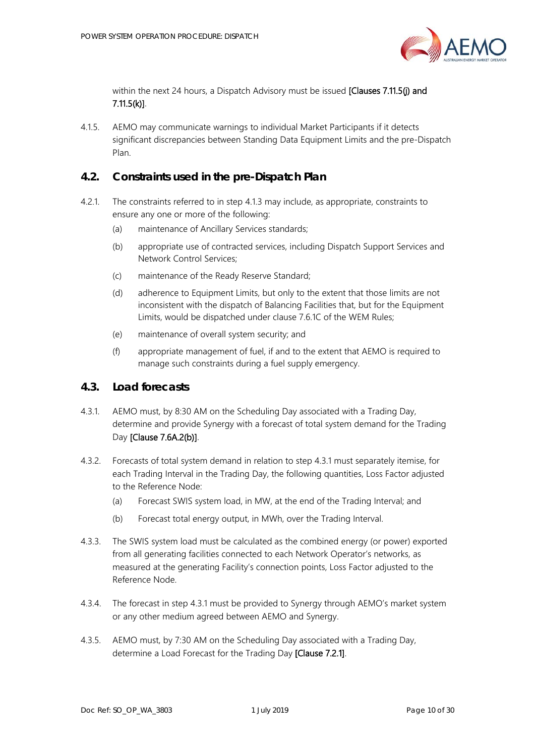

within the next 24 hours, a Dispatch Advisory must be issued [Clauses 7.11.5(j) and 7.11.5(k)].

4.1.5. AEMO may communicate warnings to individual Market Participants if it detects significant discrepancies between Standing Data Equipment Limits and the pre-Dispatch Plan.

# <span id="page-9-0"></span>**4.2. Constraints used in the pre-Dispatch Plan**

- 4.2.1. The constraints referred to in step [4.1.3](#page-8-4) may include, as appropriate, constraints to ensure any one or more of the following:
	- (a) maintenance of Ancillary Services standards;
	- (b) appropriate use of contracted services, including Dispatch Support Services and Network Control Services;
	- (c) maintenance of the Ready Reserve Standard;
	- (d) adherence to Equipment Limits, but only to the extent that those limits are not inconsistent with the dispatch of Balancing Facilities that, but for the Equipment Limits, would be dispatched under clause 7.6.1C of the WEM Rules;
	- (e) maintenance of overall system security; and
	- (f) appropriate management of fuel, if and to the extent that AEMO is required to manage such constraints during a fuel supply emergency.

## <span id="page-9-1"></span>**4.3. Load forecasts**

- <span id="page-9-2"></span>4.3.1. AEMO must, by 8:30 AM on the Scheduling Day associated with a Trading Day, determine and provide Synergy with a forecast of total system demand for the Trading Day [Clause 7.6A.2(b)].
- 4.3.2. Forecasts of total system demand in relation to step [4.3.1](#page-9-2) must separately itemise, for each Trading Interval in the Trading Day, the following quantities, Loss Factor adjusted to the Reference Node:
	- (a) Forecast SWIS system load, in MW, at the end of the Trading Interval; and
	- (b) Forecast total energy output, in MWh, over the Trading Interval.
- 4.3.3. The SWIS system load must be calculated as the combined energy (or power) exported from all generating facilities connected to each Network Operator's networks, as measured at the generating Facility's connection points, Loss Factor adjusted to the Reference Node.
- 4.3.4. The forecast in step [4.3.1](#page-9-2) must be provided to Synergy through AEMO's market system or any other medium agreed between AEMO and Synergy.
- <span id="page-9-3"></span>4.3.5. AEMO must, by 7:30 AM on the Scheduling Day associated with a Trading Day, determine a Load Forecast for the Trading Day [Clause 7.2.1].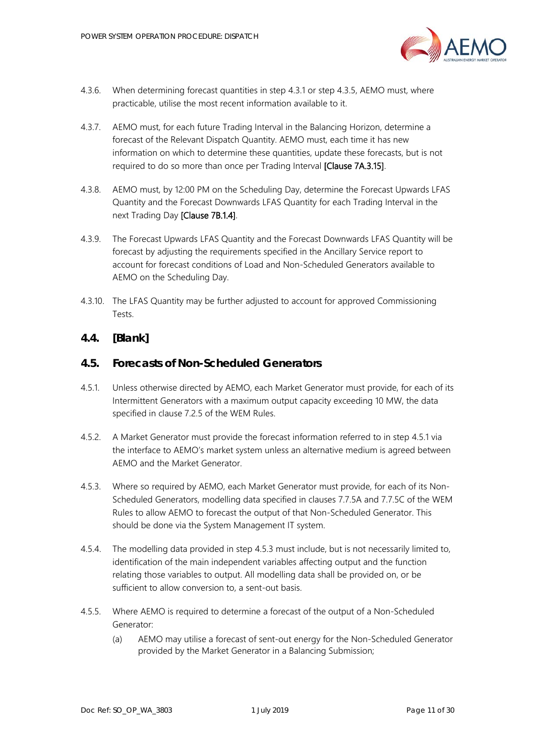

- 4.3.6. When determining forecast quantities in step [4.3.1](#page-9-2) or step [4.3.5,](#page-9-3) AEMO must, where practicable, utilise the most recent information available to it.
- 4.3.7. AEMO must, for each future Trading Interval in the Balancing Horizon, determine a forecast of the Relevant Dispatch Quantity. AEMO must, each time it has new information on which to determine these quantities, update these forecasts, but is not required to do so more than once per Trading Interval **[Clause 7A.3.15]**.
- 4.3.8. AEMO must, by 12:00 PM on the Scheduling Day, determine the Forecast Upwards LFAS Quantity and the Forecast Downwards LFAS Quantity for each Trading Interval in the next Trading Day [Clause 7B.1.4].
- 4.3.9. The Forecast Upwards LFAS Quantity and the Forecast Downwards LFAS Quantity will be forecast by adjusting the requirements specified in the Ancillary Service report to account for forecast conditions of Load and Non-Scheduled Generators available to AEMO on the Scheduling Day.
- 4.3.10. The LFAS Quantity may be further adjusted to account for approved Commissioning Tests.

# <span id="page-10-0"></span>**4.4. [Blank]**

## <span id="page-10-1"></span>**4.5. Forecasts of Non-Scheduled Generators**

- <span id="page-10-2"></span>4.5.1. Unless otherwise directed by AEMO, each Market Generator must provide, for each of its Intermittent Generators with a maximum output capacity exceeding 10 MW, the data specified in clause 7.2.5 of the WEM Rules.
- 4.5.2. A Market Generator must provide the forecast information referred to in step [4.5.1](#page-10-2) via the interface to AEMO's market system unless an alternative medium is agreed between AEMO and the Market Generator.
- <span id="page-10-3"></span>4.5.3. Where so required by AEMO, each Market Generator must provide, for each of its Non-Scheduled Generators, modelling data specified in clauses 7.7.5A and 7.7.5C of the WEM Rules to allow AEMO to forecast the output of that Non-Scheduled Generator. This should be done via the System Management IT system.
- 4.5.4. The modelling data provided in step [4.5.3](#page-10-3) must include, but is not necessarily limited to, identification of the main independent variables affecting output and the function relating those variables to output. All modelling data shall be provided on, or be sufficient to allow conversion to, a sent-out basis.
- 4.5.5. Where AEMO is required to determine a forecast of the output of a Non-Scheduled Generator:
	- (a) AEMO may utilise a forecast of sent-out energy for the Non-Scheduled Generator provided by the Market Generator in a Balancing Submission;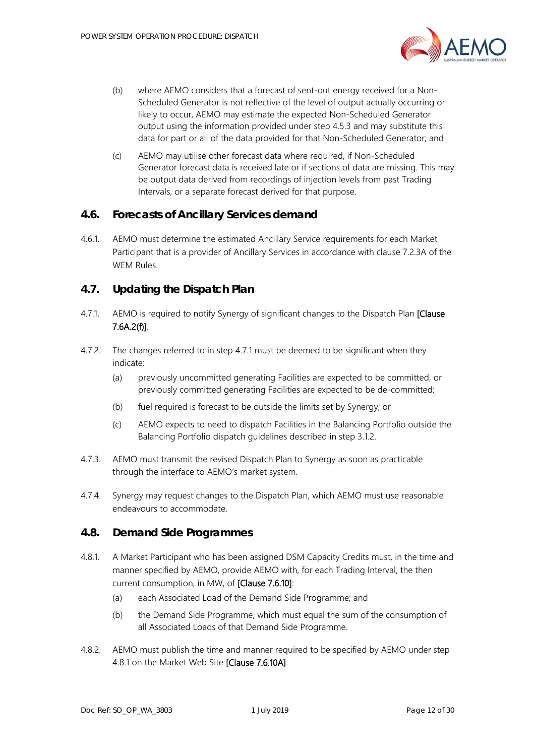

- (b) where AEMO considers that a forecast of sent-out energy received for a Non-Scheduled Generator is not reflective of the level of output actually occurring or likely to occur, AEMO may estimate the expected Non-Scheduled Generator output using the information provided under step [4.5.3](#page-10-3) and may substitute this data for part or all of the data provided for that Non-Scheduled Generator; and
- (c) AEMO may utilise other forecast data where required, if Non-Scheduled Generator forecast data is received late or if sections of data are missing. This may be output data derived from recordings of injection levels from past Trading Intervals, or a separate forecast derived for that purpose.

#### <span id="page-11-0"></span>**4.6. Forecasts of Ancillary Services demand**

4.6.1. AEMO must determine the estimated Ancillary Service requirements for each Market Participant that is a provider of Ancillary Services in accordance with clause 7.2.3A of the WEM Rules.

#### <span id="page-11-1"></span>**4.7. Updating the Dispatch Plan**

- <span id="page-11-4"></span>4.7.1. AEMO is required to notify Synergy of significant changes to the Dispatch Plan [Clause 7.6A.2(f)].
- 4.7.2. The changes referred to in step [4.7.1](#page-11-4) must be deemed to be significant when they indicate:
	- (a) previously uncommitted generating Facilities are expected to be committed, or previously committed generating Facilities are expected to be de-committed;
	- (b) fuel required is forecast to be outside the limits set by Synergy; or
	- (c) AEMO expects to need to dispatch Facilities in the Balancing Portfolio outside the Balancing Portfolio dispatch guidelines described in step [3.1.2.](#page-8-5)
- 4.7.3. AEMO must transmit the revised Dispatch Plan to Synergy as soon as practicable through the interface to AEMO's market system.
- 4.7.4. Synergy may request changes to the Dispatch Plan, which AEMO must use reasonable endeavours to accommodate.

#### <span id="page-11-2"></span>**4.8. Demand Side Programmes**

- <span id="page-11-3"></span>4.8.1. A Market Participant who has been assigned DSM Capacity Credits must, in the time and manner specified by AEMO, provide AEMO with, for each Trading Interval, the then current consumption, in MW, of [Clause 7.6.10]:
	- (a) each Associated Load of the Demand Side Programme; and
	- (b) the Demand Side Programme, which must equal the sum of the consumption of all Associated Loads of that Demand Side Programme.
- <span id="page-11-5"></span>4.8.2. AEMO must publish the time and manner required to be specified by AEMO under step [4.8.1](#page-11-3) on the Market Web Site [Clause 7.6.10A].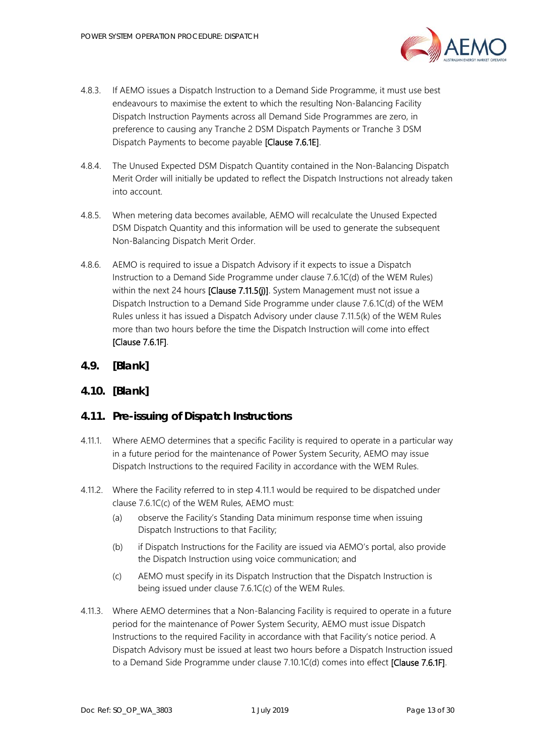

- 4.8.3. If AEMO issues a Dispatch Instruction to a Demand Side Programme, it must use best endeavours to maximise the extent to which the resulting Non-Balancing Facility Dispatch Instruction Payments across all Demand Side Programmes are zero, in preference to causing any Tranche 2 DSM Dispatch Payments or Tranche 3 DSM Dispatch Payments to become payable [Clause 7.6.1E].
- 4.8.4. The Unused Expected DSM Dispatch Quantity contained in the Non-Balancing Dispatch Merit Order will initially be updated to reflect the Dispatch Instructions not already taken into account.
- 4.8.5. When metering data becomes available, AEMO will recalculate the Unused Expected DSM Dispatch Quantity and this information will be used to generate the subsequent Non-Balancing Dispatch Merit Order.
- 4.8.6. AEMO is required to issue a Dispatch Advisory if it expects to issue a Dispatch Instruction to a Demand Side Programme under clause 7.6.1C(d) of the WEM Rules) within the next 24 hours [Clause 7.11.5(j)]. System Management must not issue a Dispatch Instruction to a Demand Side Programme under clause 7.6.1C(d) of the WEM Rules unless it has issued a Dispatch Advisory under clause 7.11.5(k) of the WEM Rules more than two hours before the time the Dispatch Instruction will come into effect [Clause 7.6.1F].
- <span id="page-12-0"></span>**4.9. [Blank]**

## <span id="page-12-1"></span>**4.10. [Blank]**

## <span id="page-12-2"></span>**4.11. Pre-issuing of Dispatch Instructions**

- <span id="page-12-3"></span>4.11.1. Where AEMO determines that a specific Facility is required to operate in a particular way in a future period for the maintenance of Power System Security, AEMO may issue Dispatch Instructions to the required Facility in accordance with the WEM Rules.
- 4.11.2. Where the Facility referred to in step [4.11.1](#page-12-3) would be required to be dispatched under clause 7.6.1C(c) of the WEM Rules, AEMO must:
	- (a) observe the Facility's Standing Data minimum response time when issuing Dispatch Instructions to that Facility;
	- (b) if Dispatch Instructions for the Facility are issued via AEMO's portal, also provide the Dispatch Instruction using voice communication; and
	- (c) AEMO must specify in its Dispatch Instruction that the Dispatch Instruction is being issued under clause 7.6.1C(c) of the WEM Rules.
- <span id="page-12-4"></span>4.11.3. Where AEMO determines that a Non-Balancing Facility is required to operate in a future period for the maintenance of Power System Security, AEMO must issue Dispatch Instructions to the required Facility in accordance with that Facility's notice period. A Dispatch Advisory must be issued at least two hours before a Dispatch Instruction issued to a Demand Side Programme under clause 7.10.1C(d) comes into effect [Clause 7.6.1F].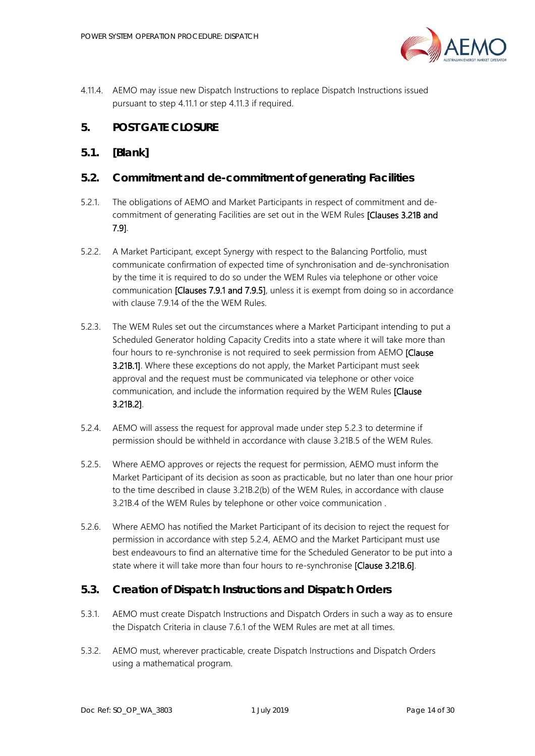

4.11.4. AEMO may issue new Dispatch Instructions to replace Dispatch Instructions issued pursuant to step [4.11.1](#page-12-3) or step [4.11.3](#page-12-4) if required.

# <span id="page-13-0"></span>**5. POST GATE CLOSURE**

# <span id="page-13-1"></span>**5.1. [Blank]**

# <span id="page-13-2"></span>**5.2. Commitment and de-commitment of generating Facilities**

- 5.2.1. The obligations of AEMO and Market Participants in respect of commitment and decommitment of generating Facilities are set out in the WEM Rules [Clauses 3.21B and 7.9].
- 5.2.2. A Market Participant, except Synergy with respect to the Balancing Portfolio, must communicate confirmation of expected time of synchronisation and de-synchronisation by the time it is required to do so under the WEM Rules via telephone or other voice communication **[Clauses 7.9.1 and 7.9.5]**, unless it is exempt from doing so in accordance with clause 7.9.14 of the the WEM Rules.
- <span id="page-13-4"></span>5.2.3. The WEM Rules set out the circumstances where a Market Participant intending to put a Scheduled Generator holding Capacity Credits into a state where it will take more than four hours to re-synchronise is not required to seek permission from AEMO [Clause **3.21B.1]**. Where these exceptions do not apply, the Market Participant must seek approval and the request must be communicated via telephone or other voice communication, and include the information required by the WEM Rules [Clause 3.21B.2].
- <span id="page-13-5"></span>5.2.4. AEMO will assess the request for approval made under step [5.2.3](#page-13-4) to determine if permission should be withheld in accordance with clause 3.21B.5 of the WEM Rules.
- 5.2.5. Where AEMO approves or rejects the request for permission, AEMO must inform the Market Participant of its decision as soon as practicable, but no later than one hour prior to the time described in clause 3.21B.2(b) of the WEM Rules, in accordance with clause 3.21B.4 of the WEM Rules by telephone or other voice communication .
- 5.2.6. Where AEMO has notified the Market Participant of its decision to reject the request for permission in accordance with step [5.2.4,](#page-13-5) AEMO and the Market Participant must use best endeavours to find an alternative time for the Scheduled Generator to be put into a state where it will take more than four hours to re-synchronise [Clause 3.21B.6].

# <span id="page-13-3"></span>**5.3. Creation of Dispatch Instructions and Dispatch Orders**

- 5.3.1. AEMO must create Dispatch Instructions and Dispatch Orders in such a way as to ensure the Dispatch Criteria in clause 7.6.1 of the WEM Rules are met at all times.
- 5.3.2. AEMO must, wherever practicable, create Dispatch Instructions and Dispatch Orders using a mathematical program.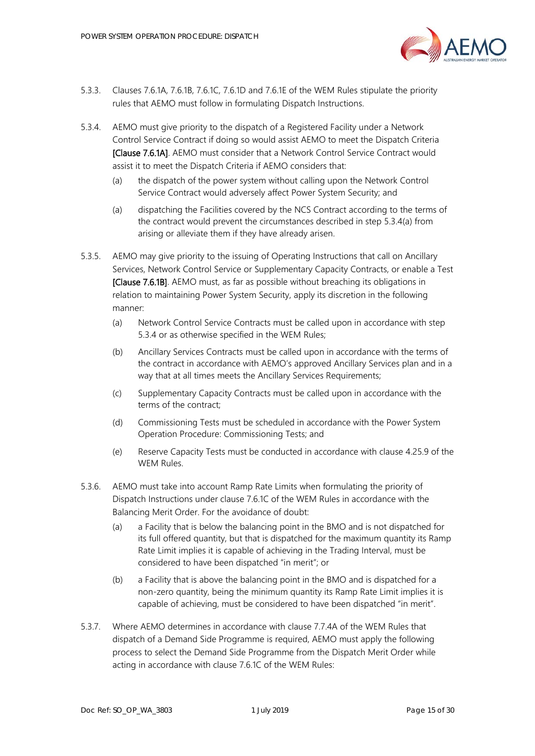

- 5.3.3. Clauses 7.6.1A, 7.6.1B, 7.6.1C, 7.6.1D and 7.6.1E of the WEM Rules stipulate the priority rules that AEMO must follow in formulating Dispatch Instructions.
- <span id="page-14-3"></span><span id="page-14-2"></span>5.3.4. AEMO must give priority to the dispatch of a Registered Facility under a Network Control Service Contract if doing so would assist AEMO to meet the Dispatch Criteria [Clause 7.6.1A]. AEMO must consider that a Network Control Service Contract would assist it to meet the Dispatch Criteria if AEMO considers that:
	- (a) the dispatch of the power system without calling upon the Network Control Service Contract would adversely affect Power System Security; and
	- (a) dispatching the Facilities covered by the NCS Contract according to the terms of the contract would prevent the circumstances described in step [5.3.4](#page-14-2)[\(a\)](#page-14-3) from arising or alleviate them if they have already arisen.
- <span id="page-14-0"></span>5.3.5. AEMO may give priority to the issuing of Operating Instructions that call on Ancillary Services, Network Control Service or Supplementary Capacity Contracts, or enable a Test [Clause 7.6.1B]. AEMO must, as far as possible without breaching its obligations in relation to maintaining Power System Security, apply its discretion in the following manner:
	- (a) Network Control Service Contracts must be called upon in accordance with step [5.3.4](#page-14-2) or as otherwise specified in the WEM Rules;
	- (b) Ancillary Services Contracts must be called upon in accordance with the terms of the contract in accordance with AEMO's approved Ancillary Services plan and in a way that at all times meets the Ancillary Services Requirements;
	- (c) Supplementary Capacity Contracts must be called upon in accordance with the terms of the contract;
	- (d) Commissioning Tests must be scheduled in accordance with the Power System Operation Procedure: Commissioning Tests; and
	- (e) Reserve Capacity Tests must be conducted in accordance with clause 4.25.9 of the WEM Rules.
- 5.3.6. AEMO must take into account Ramp Rate Limits when formulating the priority of Dispatch Instructions under clause 7.6.1C of the WEM Rules in accordance with the Balancing Merit Order. For the avoidance of doubt:
	- (a) a Facility that is below the balancing point in the BMO and is not dispatched for its full offered quantity, but that is dispatched for the maximum quantity its Ramp Rate Limit implies it is capable of achieving in the Trading Interval, must be considered to have been dispatched "in merit"; or
	- (b) a Facility that is above the balancing point in the BMO and is dispatched for a non-zero quantity, being the minimum quantity its Ramp Rate Limit implies it is capable of achieving, must be considered to have been dispatched "in merit".
- <span id="page-14-1"></span>5.3.7 Where AFMO determines in accordance with clause 7.7.4A of the WFM Rules that dispatch of a Demand Side Programme is required, AEMO must apply the following process to select the Demand Side Programme from the Dispatch Merit Order while acting in accordance with clause 7.6.1C of the WEM Rules: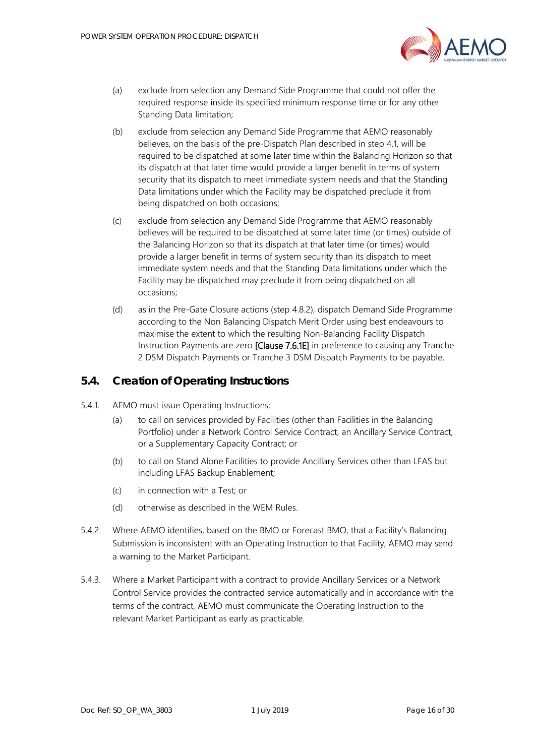

- (a) exclude from selection any Demand Side Programme that could not offer the required response inside its specified minimum response time or for any other Standing Data limitation;
- (b) exclude from selection any Demand Side Programme that AEMO reasonably believes, on the basis of the pre-Dispatch Plan described in step [4.1,](#page-8-2) will be required to be dispatched at some later time within the Balancing Horizon so that its dispatch at that later time would provide a larger benefit in terms of system security that its dispatch to meet immediate system needs and that the Standing Data limitations under which the Facility may be dispatched preclude it from being dispatched on both occasions;
- (c) exclude from selection any Demand Side Programme that AEMO reasonably believes will be required to be dispatched at some later time (or times) outside of the Balancing Horizon so that its dispatch at that later time (or times) would provide a larger benefit in terms of system security than its dispatch to meet immediate system needs and that the Standing Data limitations under which the Facility may be dispatched may preclude it from being dispatched on all occasions;
- (d) as in the Pre-Gate Closure actions (step [4.8.2\)](#page-11-5), dispatch Demand Side Programme according to the Non Balancing Dispatch Merit Order using best endeavours to maximise the extent to which the resulting Non-Balancing Facility Dispatch Instruction Payments are zero [Clause 7.6.1E] in preference to causing any Tranche 2 DSM Dispatch Payments or Tranche 3 DSM Dispatch Payments to be payable.

#### <span id="page-15-0"></span>**5.4. Creation of Operating Instructions**

- 5.4.1. AEMO must issue Operating Instructions:
	- (a) to call on services provided by Facilities (other than Facilities in the Balancing Portfolio) under a Network Control Service Contract, an Ancillary Service Contract, or a Supplementary Capacity Contract; or
	- (b) to call on Stand Alone Facilities to provide Ancillary Services other than LFAS but including LFAS Backup Enablement;
	- (c) in connection with a Test; or
	- (d) otherwise as described in the WEM Rules.
- 5.4.2. Where AEMO identifies, based on the BMO or Forecast BMO, that a Facility's Balancing Submission is inconsistent with an Operating Instruction to that Facility, AEMO may send a warning to the Market Participant.
- 5.4.3. Where a Market Participant with a contract to provide Ancillary Services or a Network Control Service provides the contracted service automatically and in accordance with the terms of the contract, AEMO must communicate the Operating Instruction to the relevant Market Participant as early as practicable.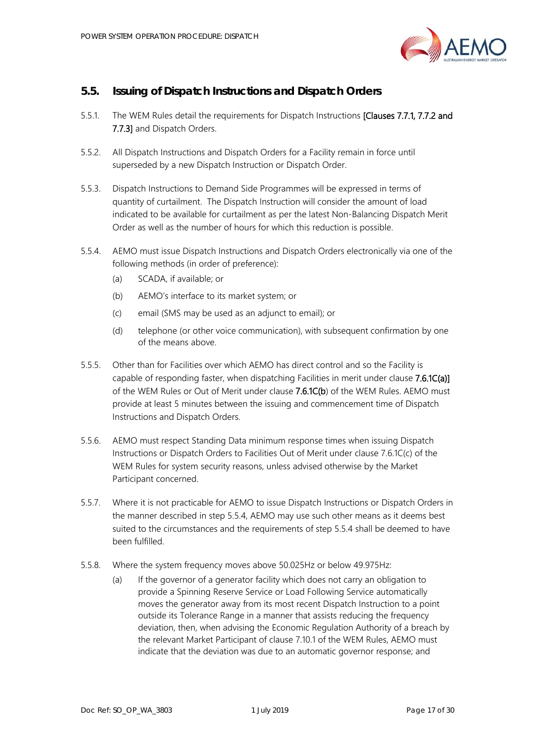

# <span id="page-16-0"></span>**5.5. Issuing of Dispatch Instructions and Dispatch Orders**

- 5.5.1. The WEM Rules detail the requirements for Dispatch Instructions [Clauses 7.7.1, 7.7.2 and 7.7.3] and Dispatch Orders.
- 5.5.2. All Dispatch Instructions and Dispatch Orders for a Facility remain in force until superseded by a new Dispatch Instruction or Dispatch Order.
- 5.5.3. Dispatch Instructions to Demand Side Programmes will be expressed in terms of quantity of curtailment. The Dispatch Instruction will consider the amount of load indicated to be available for curtailment as per the latest Non-Balancing Dispatch Merit Order as well as the number of hours for which this reduction is possible.
- <span id="page-16-1"></span>5.5.4. AEMO must issue Dispatch Instructions and Dispatch Orders electronically via one of the following methods (in order of preference):
	- (a) SCADA, if available; or
	- (b) AEMO's interface to its market system; or
	- (c) email (SMS may be used as an adjunct to email); or
	- (d) telephone (or other voice communication), with subsequent confirmation by one of the means above.
- 5.5.5. Other than for Facilities over which AEMO has direct control and so the Facility is capable of responding faster, when dispatching Facilities in merit under clause 7.6.1C(a)] of the WEM Rules or Out of Merit under clause 7.6.1C(b) of the WEM Rules. AEMO must provide at least 5 minutes between the issuing and commencement time of Dispatch Instructions and Dispatch Orders.
- 5.5.6. AEMO must respect Standing Data minimum response times when issuing Dispatch Instructions or Dispatch Orders to Facilities Out of Merit under clause 7.6.1C(c) of the WEM Rules for system security reasons, unless advised otherwise by the Market Participant concerned.
- 5.5.7. Where it is not practicable for AEMO to issue Dispatch Instructions or Dispatch Orders in the manner described in step [5.5.4,](#page-16-1) AEMO may use such other means as it deems best suited to the circumstances and the requirements of step [5.5.4](#page-16-1) shall be deemed to have been fulfilled.
- 5.5.8. Where the system frequency moves above 50.025Hz or below 49.975Hz:
	- (a) If the governor of a generator facility which does not carry an obligation to provide a Spinning Reserve Service or Load Following Service automatically moves the generator away from its most recent Dispatch Instruction to a point outside its Tolerance Range in a manner that assists reducing the frequency deviation, then, when advising the Economic Regulation Authority of a breach by the relevant Market Participant of clause 7.10.1 of the WEM Rules, AEMO must indicate that the deviation was due to an automatic governor response; and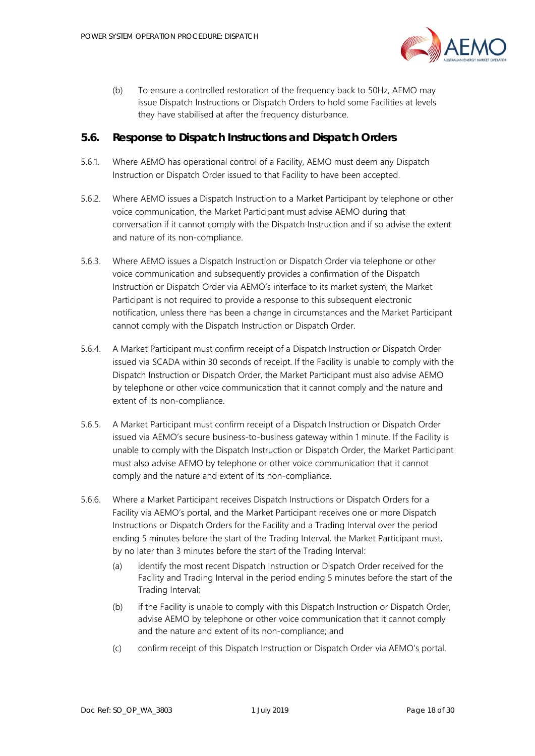

(b) To ensure a controlled restoration of the frequency back to 50Hz, AEMO may issue Dispatch Instructions or Dispatch Orders to hold some Facilities at levels they have stabilised at after the frequency disturbance.

#### <span id="page-17-0"></span>**5.6. Response to Dispatch Instructions and Dispatch Orders**

- 5.6.1. Where AEMO has operational control of a Facility, AEMO must deem any Dispatch Instruction or Dispatch Order issued to that Facility to have been accepted.
- 5.6.2. Where AEMO issues a Dispatch Instruction to a Market Participant by telephone or other voice communication, the Market Participant must advise AEMO during that conversation if it cannot comply with the Dispatch Instruction and if so advise the extent and nature of its non-compliance.
- 5.6.3. Where AEMO issues a Dispatch Instruction or Dispatch Order via telephone or other voice communication and subsequently provides a confirmation of the Dispatch Instruction or Dispatch Order via AEMO's interface to its market system, the Market Participant is not required to provide a response to this subsequent electronic notification, unless there has been a change in circumstances and the Market Participant cannot comply with the Dispatch Instruction or Dispatch Order.
- 5.6.4. A Market Participant must confirm receipt of a Dispatch Instruction or Dispatch Order issued via SCADA within 30 seconds of receipt. If the Facility is unable to comply with the Dispatch Instruction or Dispatch Order, the Market Participant must also advise AEMO by telephone or other voice communication that it cannot comply and the nature and extent of its non-compliance.
- 5.6.5. A Market Participant must confirm receipt of a Dispatch Instruction or Dispatch Order issued via AEMO's secure business-to-business gateway within 1 minute. If the Facility is unable to comply with the Dispatch Instruction or Dispatch Order, the Market Participant must also advise AEMO by telephone or other voice communication that it cannot comply and the nature and extent of its non-compliance.
- 5.6.6. Where a Market Participant receives Dispatch Instructions or Dispatch Orders for a Facility via AEMO's portal, and the Market Participant receives one or more Dispatch Instructions or Dispatch Orders for the Facility and a Trading Interval over the period ending 5 minutes before the start of the Trading Interval, the Market Participant must, by no later than 3 minutes before the start of the Trading Interval:
	- (a) identify the most recent Dispatch Instruction or Dispatch Order received for the Facility and Trading Interval in the period ending 5 minutes before the start of the Trading Interval;
	- (b) if the Facility is unable to comply with this Dispatch Instruction or Dispatch Order, advise AEMO by telephone or other voice communication that it cannot comply and the nature and extent of its non-compliance; and
	- (c) confirm receipt of this Dispatch Instruction or Dispatch Order via AEMO's portal.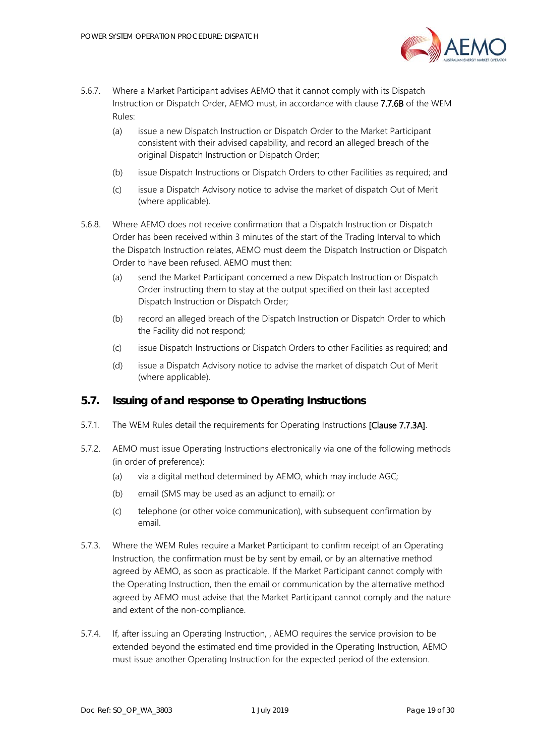

- <span id="page-18-1"></span>5.6.7. Where a Market Participant advises AEMO that it cannot comply with its Dispatch Instruction or Dispatch Order, AEMO must, in accordance with clause 7.7.6B of the WEM Rules:
	- (a) issue a new Dispatch Instruction or Dispatch Order to the Market Participant consistent with their advised capability, and record an alleged breach of the original Dispatch Instruction or Dispatch Order;
	- (b) issue Dispatch Instructions or Dispatch Orders to other Facilities as required; and
	- (c) issue a Dispatch Advisory notice to advise the market of dispatch Out of Merit (where applicable).
- 5.6.8. Where AEMO does not receive confirmation that a Dispatch Instruction or Dispatch Order has been received within 3 minutes of the start of the Trading Interval to which the Dispatch Instruction relates, AEMO must deem the Dispatch Instruction or Dispatch Order to have been refused. AEMO must then:
	- (a) send the Market Participant concerned a new Dispatch Instruction or Dispatch Order instructing them to stay at the output specified on their last accepted Dispatch Instruction or Dispatch Order;
	- (b) record an alleged breach of the Dispatch Instruction or Dispatch Order to which the Facility did not respond;
	- (c) issue Dispatch Instructions or Dispatch Orders to other Facilities as required; and
	- (d) issue a Dispatch Advisory notice to advise the market of dispatch Out of Merit (where applicable).

## <span id="page-18-0"></span>**5.7. Issuing of and response to Operating Instructions**

- 5.7.1. The WEM Rules detail the requirements for Operating Instructions [Clause 7.7.3A].
- 5.7.2. AEMO must issue Operating Instructions electronically via one of the following methods (in order of preference):
	- (a) via a digital method determined by AEMO, which may include AGC;
	- (b) email (SMS may be used as an adjunct to email); or
	- (c) telephone (or other voice communication), with subsequent confirmation by email.
- 5.7.3. Where the WEM Rules require a Market Participant to confirm receipt of an Operating Instruction, the confirmation must be by sent by email, or by an alternative method agreed by AEMO, as soon as practicable. If the Market Participant cannot comply with the Operating Instruction, then the email or communication by the alternative method agreed by AEMO must advise that the Market Participant cannot comply and the nature and extent of the non-compliance.
- 5.7.4. If, after issuing an Operating Instruction, , AEMO requires the service provision to be extended beyond the estimated end time provided in the Operating Instruction, AEMO must issue another Operating Instruction for the expected period of the extension.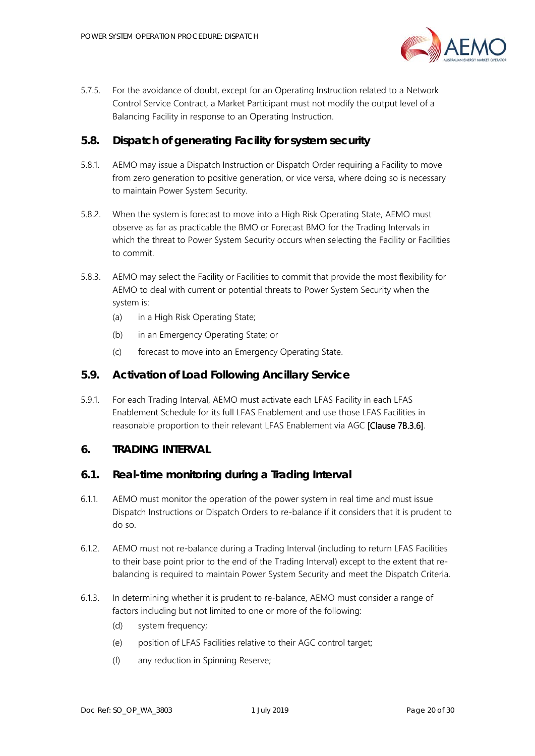

5.7.5. For the avoidance of doubt, except for an Operating Instruction related to a Network Control Service Contract, a Market Participant must not modify the output level of a Balancing Facility in response to an Operating Instruction.

## <span id="page-19-0"></span>**5.8. Dispatch of generating Facility for system security**

- 5.8.1. AEMO may issue a Dispatch Instruction or Dispatch Order requiring a Facility to move from zero generation to positive generation, or vice versa, where doing so is necessary to maintain Power System Security.
- 5.8.2. When the system is forecast to move into a High Risk Operating State, AEMO must observe as far as practicable the BMO or Forecast BMO for the Trading Intervals in which the threat to Power System Security occurs when selecting the Facility or Facilities to commit.
- 5.8.3. AEMO may select the Facility or Facilities to commit that provide the most flexibility for AEMO to deal with current or potential threats to Power System Security when the system is:
	- (a) in a High Risk Operating State;
	- (b) in an Emergency Operating State; or
	- (c) forecast to move into an Emergency Operating State.

#### <span id="page-19-1"></span>**5.9. Activation of Load Following Ancillary Service**

5.9.1. For each Trading Interval, AEMO must activate each LFAS Facility in each LFAS Enablement Schedule for its full LFAS Enablement and use those LFAS Facilities in reasonable proportion to their relevant LFAS Enablement via AGC [Clause 7B.3.6].

#### <span id="page-19-2"></span>**6. TRADING INTERVAL**

#### <span id="page-19-3"></span>**6.1. Real-time monitoring during a Trading Interval**

- 6.1.1. AEMO must monitor the operation of the power system in real time and must issue Dispatch Instructions or Dispatch Orders to re-balance if it considers that it is prudent to do so.
- 6.1.2. AEMO must not re-balance during a Trading Interval (including to return LFAS Facilities to their base point prior to the end of the Trading Interval) except to the extent that rebalancing is required to maintain Power System Security and meet the Dispatch Criteria.
- 6.1.3. In determining whether it is prudent to re-balance, AEMO must consider a range of factors including but not limited to one or more of the following:
	- (d) system frequency;
	- (e) position of LFAS Facilities relative to their AGC control target;
	- (f) any reduction in Spinning Reserve;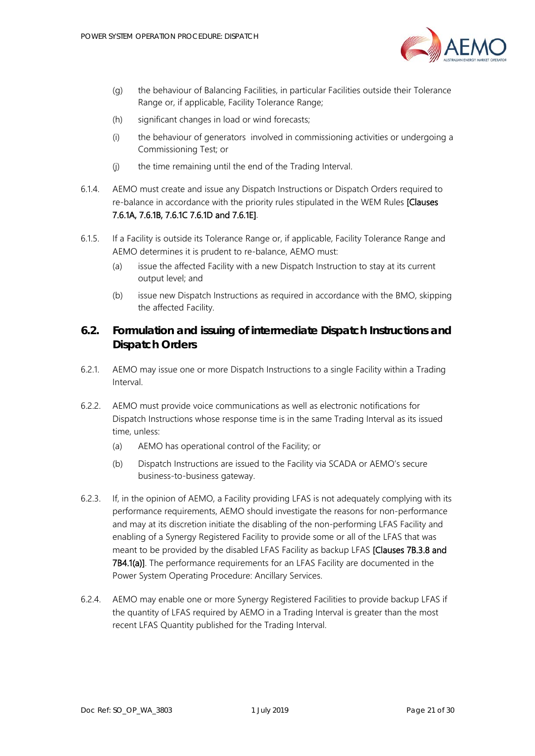

- (g) the behaviour of Balancing Facilities, in particular Facilities outside their Tolerance Range or, if applicable, Facility Tolerance Range;
- (h) significant changes in load or wind forecasts;
- (i) the behaviour of generators involved in commissioning activities or undergoing a Commissioning Test; or
- (j) the time remaining until the end of the Trading Interval.
- 6.1.4. AEMO must create and issue any Dispatch Instructions or Dispatch Orders required to re-balance in accordance with the priority rules stipulated in the WEM Rules [Clauses] 7.6.1A, 7.6.1B, 7.6.1C 7.6.1D and 7.6.1E].
- 6.1.5. If a Facility is outside its Tolerance Range or, if applicable, Facility Tolerance Range and AEMO determines it is prudent to re-balance, AEMO must:
	- (a) issue the affected Facility with a new Dispatch Instruction to stay at its current output level; and
	- (b) issue new Dispatch Instructions as required in accordance with the BMO, skipping the affected Facility.

# <span id="page-20-0"></span>**6.2. Formulation and issuing of intermediate Dispatch Instructions and Dispatch Orders**

- 6.2.1. AEMO may issue one or more Dispatch Instructions to a single Facility within a Trading Interval.
- 6.2.2. AEMO must provide voice communications as well as electronic notifications for Dispatch Instructions whose response time is in the same Trading Interval as its issued time, unless:
	- (a) AEMO has operational control of the Facility; or
	- (b) Dispatch Instructions are issued to the Facility via SCADA or AEMO's secure business-to-business gateway.
- 6.2.3. If, in the opinion of AEMO, a Facility providing LFAS is not adequately complying with its performance requirements, AEMO should investigate the reasons for non-performance and may at its discretion initiate the disabling of the non-performing LFAS Facility and enabling of a Synergy Registered Facility to provide some or all of the LFAS that was meant to be provided by the disabled LFAS Facility as backup LFAS [Clauses 7B.3.8 and 7B4.1(a)]. The performance requirements for an LFAS Facility are documented in the Power System Operating Procedure: Ancillary Services.
- 6.2.4. AEMO may enable one or more Synergy Registered Facilities to provide backup LFAS if the quantity of LFAS required by AEMO in a Trading Interval is greater than the most recent LFAS Quantity published for the Trading Interval.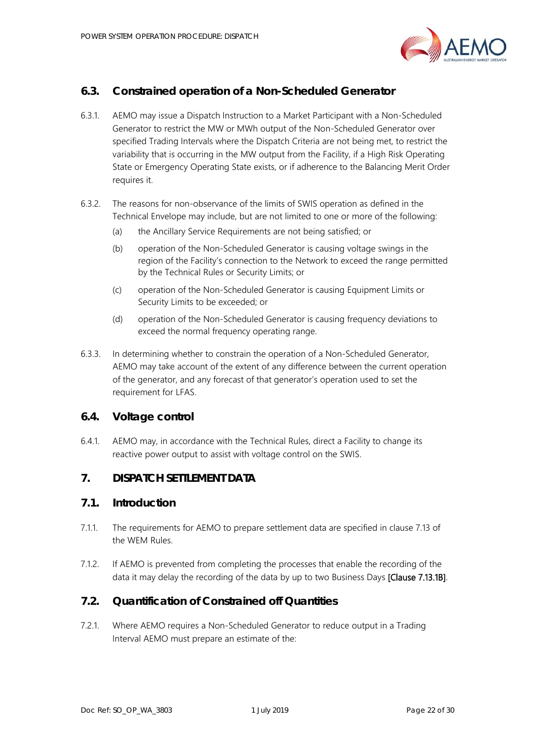

# <span id="page-21-0"></span>**6.3. Constrained operation of a Non-Scheduled Generator**

- 6.3.1. AEMO may issue a Dispatch Instruction to a Market Participant with a Non-Scheduled Generator to restrict the MW or MWh output of the Non-Scheduled Generator over specified Trading Intervals where the Dispatch Criteria are not being met, to restrict the variability that is occurring in the MW output from the Facility, if a High Risk Operating State or Emergency Operating State exists, or if adherence to the Balancing Merit Order requires it.
- 6.3.2. The reasons for non-observance of the limits of SWIS operation as defined in the Technical Envelope may include, but are not limited to one or more of the following:
	- (a) the Ancillary Service Requirements are not being satisfied; or
	- (b) operation of the Non-Scheduled Generator is causing voltage swings in the region of the Facility's connection to the Network to exceed the range permitted by the Technical Rules or Security Limits; or
	- (c) operation of the Non-Scheduled Generator is causing Equipment Limits or Security Limits to be exceeded; or
	- (d) operation of the Non-Scheduled Generator is causing frequency deviations to exceed the normal frequency operating range.
- 6.3.3. In determining whether to constrain the operation of a Non-Scheduled Generator, AEMO may take account of the extent of any difference between the current operation of the generator, and any forecast of that generator's operation used to set the requirement for LFAS.

## <span id="page-21-1"></span>**6.4. Voltage control**

6.4.1. AEMO may, in accordance with the Technical Rules, direct a Facility to change its reactive power output to assist with voltage control on the SWIS.

# <span id="page-21-2"></span>**7. DISPATCH SETTLEMENT DATA**

#### <span id="page-21-3"></span>**7.1. Introduction**

- 7.1.1. The requirements for AEMO to prepare settlement data are specified in clause 7.13 of the WEM Rules.
- 7.1.2. If AEMO is prevented from completing the processes that enable the recording of the data it may delay the recording of the data by up to two Business Days [Clause 7.13.1B].

## <span id="page-21-4"></span>**7.2. Quantification of Constrained off Quantities**

<span id="page-21-5"></span>7.2.1. Where AEMO requires a Non-Scheduled Generator to reduce output in a Trading Interval AEMO must prepare an estimate of the: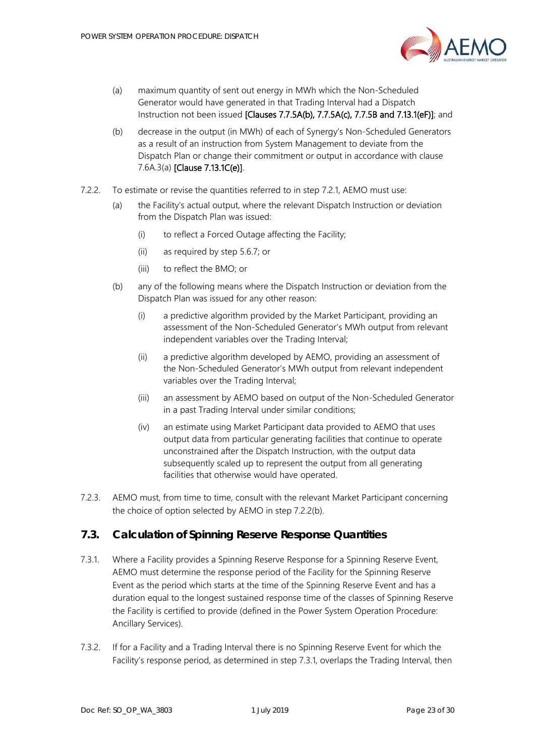

- (a) maximum quantity of sent out energy in MWh which the Non-Scheduled Generator would have generated in that Trading Interval had a Dispatch Instruction not been issued [Clauses 7.7.5A(b), 7.7.5A(c), 7.7.5B and 7.13.1(eF)]; and
- (b) decrease in the output (in MWh) of each of Synergy's Non-Scheduled Generators as a result of an instruction from System Management to deviate from the Dispatch Plan or change their commitment or output in accordance with clause 7.6A.3(a) [Clause 7.13.1C(e)].
- <span id="page-22-2"></span><span id="page-22-1"></span>7.2.2. To estimate or revise the quantities referred to in step [7.2.1,](#page-21-5) AEMO must use:
	- (a) the Facility's actual output, where the relevant Dispatch Instruction or deviation from the Dispatch Plan was issued:
		- (i) to reflect a Forced Outage affecting the Facility;
		- (ii) as required by step [5.6.7;](#page-18-1) or
		- (iii) to reflect the BMO; or
	- (b) any of the following means where the Dispatch Instruction or deviation from the Dispatch Plan was issued for any other reason:
		- (i) a predictive algorithm provided by the Market Participant, providing an assessment of the Non-Scheduled Generator's MWh output from relevant independent variables over the Trading Interval;
		- (ii) a predictive algorithm developed by AEMO, providing an assessment of the Non-Scheduled Generator's MWh output from relevant independent variables over the Trading Interval;
		- (iii) an assessment by AEMO based on output of the Non-Scheduled Generator in a past Trading Interval under similar conditions;
		- (iv) an estimate using Market Participant data provided to AEMO that uses output data from particular generating facilities that continue to operate unconstrained after the Dispatch Instruction, with the output data subsequently scaled up to represent the output from all generating facilities that otherwise would have operated.
- 7.2.3. AEMO must, from time to time, consult with the relevant Market Participant concerning the choice of option selected by AEMO in step [7.2.2](#page-22-1)[\(b\).](#page-22-2)

## <span id="page-22-0"></span>**7.3. Calculation of Spinning Reserve Response Quantities**

- <span id="page-22-3"></span>7.3.1. Where a Facility provides a Spinning Reserve Response for a Spinning Reserve Event, AEMO must determine the response period of the Facility for the Spinning Reserve Event as the period which starts at the time of the Spinning Reserve Event and has a duration equal to the longest sustained response time of the classes of Spinning Reserve the Facility is certified to provide (defined in the Power System Operation Procedure: Ancillary Services).
- 7.3.2. If for a Facility and a Trading Interval there is no Spinning Reserve Event for which the Facility's response period, as determined in step [7.3.1,](#page-22-3) overlaps the Trading Interval, then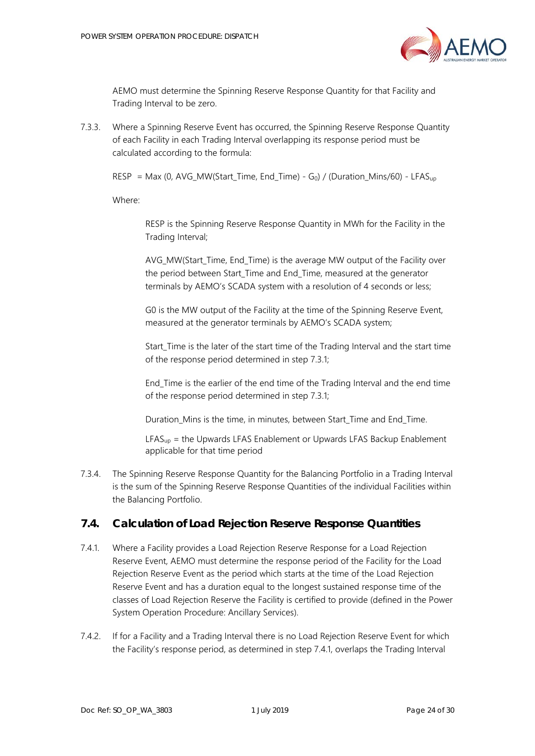

AEMO must determine the Spinning Reserve Response Quantity for that Facility and Trading Interval to be zero.

7.3.3. Where a Spinning Reserve Event has occurred, the Spinning Reserve Response Quantity of each Facility in each Trading Interval overlapping its response period must be calculated according to the formula:

RESP = Max (0, AVG\_MW(Start\_Time, End\_Time) - G<sub>0</sub>) / (Duration\_Mins/60) - LFAS<sub>up</sub>

Where:

RESP is the Spinning Reserve Response Quantity in MWh for the Facility in the Trading Interval;

AVG MW(Start Time, End Time) is the average MW output of the Facility over the period between Start\_Time and End\_Time, measured at the generator terminals by AEMO's SCADA system with a resolution of 4 seconds or less;

G0 is the MW output of the Facility at the time of the Spinning Reserve Event, measured at the generator terminals by AEMO's SCADA system;

Start Time is the later of the start time of the Trading Interval and the start time of the response period determined in ste[p 7.3.1;](#page-22-3)

End\_Time is the earlier of the end time of the Trading Interval and the end time of the response period determined in ste[p 7.3.1;](#page-22-3)

Duration Mins is the time, in minutes, between Start Time and End Time.

 $LFAS<sub>up</sub>$  = the Upwards LFAS Enablement or Upwards LFAS Backup Enablement applicable for that time period

7.3.4. The Spinning Reserve Response Quantity for the Balancing Portfolio in a Trading Interval is the sum of the Spinning Reserve Response Quantities of the individual Facilities within the Balancing Portfolio.

## <span id="page-23-0"></span>**7.4. Calculation of Load Rejection Reserve Response Quantities**

- <span id="page-23-1"></span>7.4.1. Where a Facility provides a Load Rejection Reserve Response for a Load Rejection Reserve Event, AEMO must determine the response period of the Facility for the Load Rejection Reserve Event as the period which starts at the time of the Load Rejection Reserve Event and has a duration equal to the longest sustained response time of the classes of Load Rejection Reserve the Facility is certified to provide (defined in the Power System Operation Procedure: Ancillary Services).
- 7.4.2. If for a Facility and a Trading Interval there is no Load Rejection Reserve Event for which the Facility's response period, as determined in step [7.4.1,](#page-23-1) overlaps the Trading Interval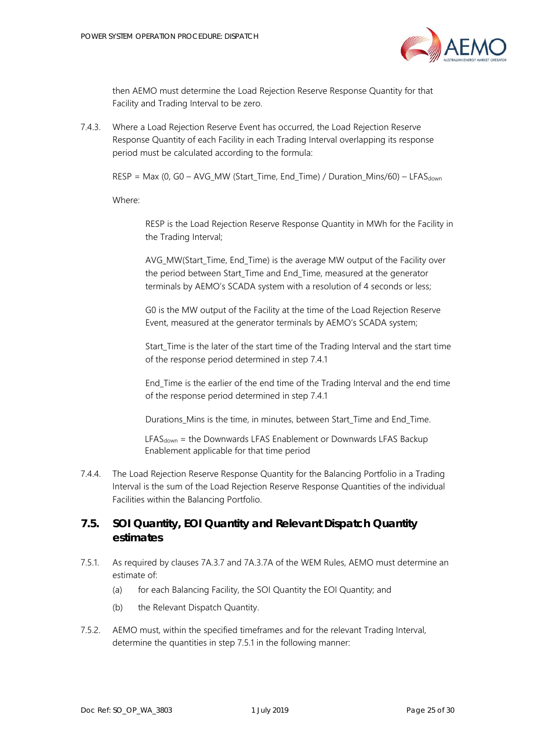

then AEMO must determine the Load Rejection Reserve Response Quantity for that Facility and Trading Interval to be zero.

7.4.3. Where a Load Rejection Reserve Event has occurred, the Load Rejection Reserve Response Quantity of each Facility in each Trading Interval overlapping its response period must be calculated according to the formula:

 $RESP = Max (0, GO - AVG_MW (Start\_Time, End\_Time) / Duration_Mins/60) - LFAST_{down}$ 

Where:

RESP is the Load Rejection Reserve Response Quantity in MWh for the Facility in the Trading Interval;

AVG MW(Start Time, End Time) is the average MW output of the Facility over the period between Start\_Time and End\_Time, measured at the generator terminals by AEMO's SCADA system with a resolution of 4 seconds or less;

G0 is the MW output of the Facility at the time of the Load Rejection Reserve Event, measured at the generator terminals by AEMO's SCADA system;

Start Time is the later of the start time of the Trading Interval and the start time of the response period determined in step [7.4.1](#page-23-1)

End\_Time is the earlier of the end time of the Trading Interval and the end time of the response period determined in step [7.4.1](#page-23-1)

Durations\_Mins is the time, in minutes, between Start\_Time and End\_Time.

 $LFAS<sub>down</sub> =$  the Downwards LFAS Enablement or Downwards LFAS Backup Enablement applicable for that time period

7.4.4. The Load Rejection Reserve Response Quantity for the Balancing Portfolio in a Trading Interval is the sum of the Load Rejection Reserve Response Quantities of the individual Facilities within the Balancing Portfolio.

# <span id="page-24-0"></span>**7.5. SOI Quantity, EOI Quantity and Relevant Dispatch Quantity estimates**

- <span id="page-24-1"></span>7.5.1. As required by clauses 7A.3.7 and 7A.3.7A of the WEM Rules, AEMO must determine an estimate of:
	- (a) for each Balancing Facility, the SOI Quantity the EOI Quantity; and
	- (b) the Relevant Dispatch Quantity.
- <span id="page-24-2"></span>7.5.2. AEMO must, within the specified timeframes and for the relevant Trading Interval, determine the quantities in step [7.5.1](#page-24-1) in the following manner: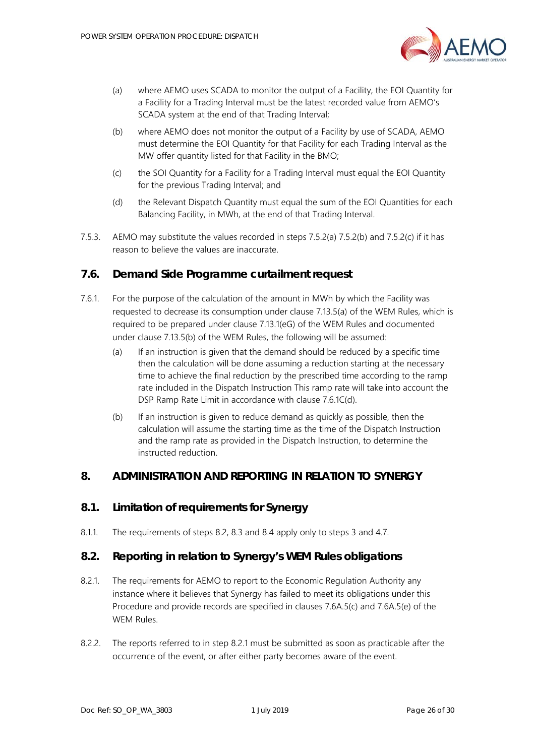

- <span id="page-25-4"></span>(a) where AEMO uses SCADA to monitor the output of a Facility, the EOI Quantity for a Facility for a Trading Interval must be the latest recorded value from AEMO's SCADA system at the end of that Trading Interval;
- <span id="page-25-5"></span>(b) where AEMO does not monitor the output of a Facility by use of SCADA, AEMO must determine the EOI Quantity for that Facility for each Trading Interval as the MW offer quantity listed for that Facility in the BMO;
- <span id="page-25-6"></span>(c) the SOI Quantity for a Facility for a Trading Interval must equal the EOI Quantity for the previous Trading Interval; and
- (d) the Relevant Dispatch Quantity must equal the sum of the EOI Quantities for each Balancing Facility, in MWh, at the end of that Trading Interval.
- 7.5.3. AEMO may substitute the values recorded in steps [7.5.2](#page-24-2)[\(a\)](#page-25-4) [7.5.2](#page-24-2)[\(b\)](#page-25-5) and [7.5.2](#page-24-2)[\(c\)](#page-25-6) if it has reason to believe the values are inaccurate.

#### <span id="page-25-0"></span>**7.6. Demand Side Programme curtailment request**

- 7.6.1. For the purpose of the calculation of the amount in MWh by which the Facility was requested to decrease its consumption under clause 7.13.5(a) of the WEM Rules, which is required to be prepared under clause 7.13.1(eG) of the WEM Rules and documented under clause 7.13.5(b) of the WEM Rules, the following will be assumed:
	- (a) If an instruction is given that the demand should be reduced by a specific time then the calculation will be done assuming a reduction starting at the necessary time to achieve the final reduction by the prescribed time according to the ramp rate included in the Dispatch Instruction This ramp rate will take into account the DSP Ramp Rate Limit in accordance with clause 7.6.1C(d).
	- (b) If an instruction is given to reduce demand as quickly as possible, then the calculation will assume the starting time as the time of the Dispatch Instruction and the ramp rate as provided in the Dispatch Instruction, to determine the instructed reduction.

#### <span id="page-25-1"></span>**8. ADMINISTRATION AND REPORTING IN RELATION TO SYNERGY**

# <span id="page-25-2"></span>**8.1. Limitation of requirements for Synergy**

8.1.1. The requirements of steps [8.2,](#page-25-3) [8.3](#page-26-0) and [8.4](#page-26-1) apply only to steps [3](#page-8-0) and [4.7.](#page-11-1)

#### <span id="page-25-3"></span>**8.2. Reporting in relation to Synergy's WEM Rules obligations**

- <span id="page-25-7"></span>8.2.1. The requirements for AEMO to report to the Economic Regulation Authority any instance where it believes that Synergy has failed to meet its obligations under this Procedure and provide records are specified in clauses 7.6A.5(c) and 7.6A.5(e) of the WEM Rules.
- 8.2.2. The reports referred to in step [8.2.1](#page-25-7) must be submitted as soon as practicable after the occurrence of the event, or after either party becomes aware of the event.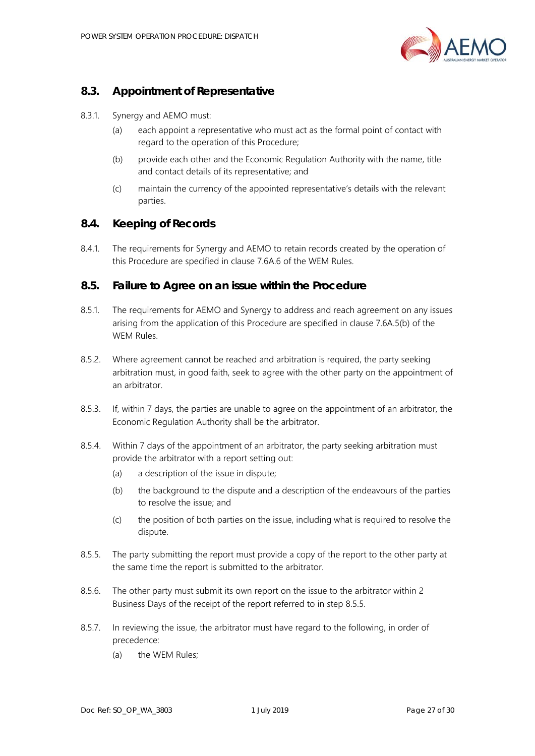

# <span id="page-26-0"></span>**8.3. Appointment of Representative**

- 8.3.1. Synergy and AEMO must:
	- (a) each appoint a representative who must act as the formal point of contact with regard to the operation of this Procedure;
	- (b) provide each other and the Economic Regulation Authority with the name, title and contact details of its representative; and
	- (c) maintain the currency of the appointed representative's details with the relevant parties.

#### <span id="page-26-1"></span>**8.4. Keeping of Records**

8.4.1. The requirements for Synergy and AEMO to retain records created by the operation of this Procedure are specified in clause 7.6A.6 of the WEM Rules.

#### <span id="page-26-2"></span>**8.5. Failure to Agree on an issue within the Procedure**

- 8.5.1. The requirements for AEMO and Synergy to address and reach agreement on any issues arising from the application of this Procedure are specified in clause 7.6A.5(b) of the WEM Rules.
- 8.5.2. Where agreement cannot be reached and arbitration is required, the party seeking arbitration must, in good faith, seek to agree with the other party on the appointment of an arbitrator.
- 8.5.3. If, within 7 days, the parties are unable to agree on the appointment of an arbitrator, the Economic Regulation Authority shall be the arbitrator.
- 8.5.4. Within 7 days of the appointment of an arbitrator, the party seeking arbitration must provide the arbitrator with a report setting out:
	- (a) a description of the issue in dispute;
	- (b) the background to the dispute and a description of the endeavours of the parties to resolve the issue; and
	- (c) the position of both parties on the issue, including what is required to resolve the dispute.
- <span id="page-26-3"></span>8.5.5. The party submitting the report must provide a copy of the report to the other party at the same time the report is submitted to the arbitrator.
- 8.5.6. The other party must submit its own report on the issue to the arbitrator within 2 Business Days of the receipt of the report referred to in step [8.5.5.](#page-26-3)
- 8.5.7. In reviewing the issue, the arbitrator must have regard to the following, in order of precedence:
	- (a) the WEM Rules;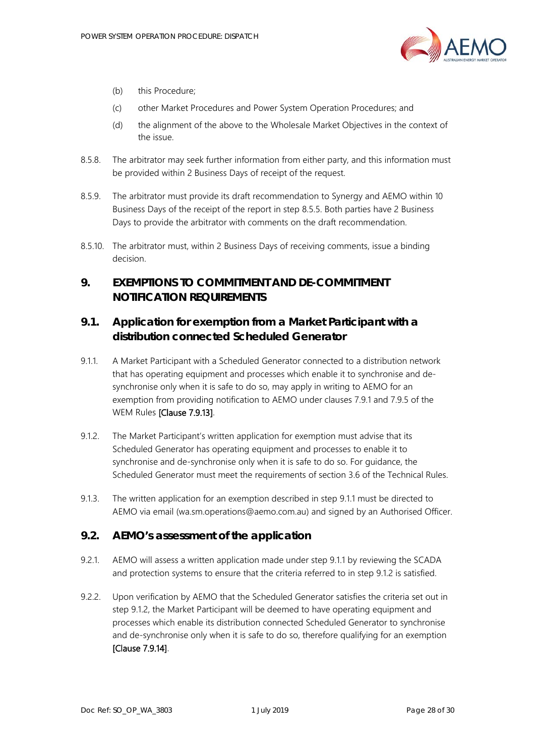

- (b) this Procedure;
- (c) other Market Procedures and Power System Operation Procedures; and
- (d) the alignment of the above to the Wholesale Market Objectives in the context of the issue.
- 8.5.8. The arbitrator may seek further information from either party, and this information must be provided within 2 Business Days of receipt of the request.
- 8.5.9. The arbitrator must provide its draft recommendation to Synergy and AEMO within 10 Business Days of the receipt of the report in step [8.5.5.](#page-26-3) Both parties have 2 Business Days to provide the arbitrator with comments on the draft recommendation.
- 8.5.10. The arbitrator must, within 2 Business Days of receiving comments, issue a binding decision.

# <span id="page-27-0"></span>**9. EXEMPTIONS TO COMMITMENT AND DE-COMMITMENT NOTIFICATION REQUIREMENTS**

# <span id="page-27-1"></span>**9.1. Application for exemption from a Market Participant with a distribution connected Scheduled Generator**

- <span id="page-27-3"></span>9.1.1. A Market Participant with a Scheduled Generator connected to a distribution network that has operating equipment and processes which enable it to synchronise and desynchronise only when it is safe to do so, may apply in writing to AEMO for an exemption from providing notification to AEMO under clauses 7.9.1 and 7.9.5 of the WEM Rules [Clause 7.9.13].
- <span id="page-27-4"></span>9.1.2. The Market Participant's written application for exemption must advise that its Scheduled Generator has operating equipment and processes to enable it to synchronise and de-synchronise only when it is safe to do so. For guidance, the Scheduled Generator must meet the requirements of section 3.6 of the Technical Rules.
- 9.1.3. The written application for an exemption described in step [9.1.1](#page-27-3) must be directed to AEMO via email (wa.sm.operations@aemo.com.au) and signed by an Authorised Officer.

## <span id="page-27-2"></span>**9.2. AEMO's assessment of the application**

- 9.2.1. AEMO will assess a written application made under step [9.1.1](#page-27-3) by reviewing the SCADA and protection systems to ensure that the criteria referred to in step [9.1.2](#page-27-4) is satisfied.
- <span id="page-27-5"></span>9.2.2. Upon verification by AEMO that the Scheduled Generator satisfies the criteria set out in step [9.1.2,](#page-27-4) the Market Participant will be deemed to have operating equipment and processes which enable its distribution connected Scheduled Generator to synchronise and de-synchronise only when it is safe to do so, therefore qualifying for an exemption [Clause 7.9.14].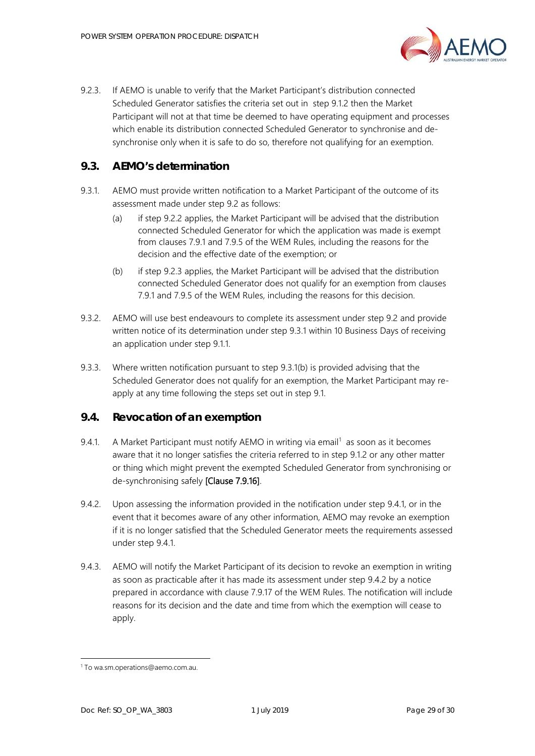

<span id="page-28-2"></span>9.2.3. If AEMO is unable to verify that the Market Participant's distribution connected Scheduled Generator satisfies the criteria set out in step [9.1.2](#page-27-4) then the Market Participant will not at that time be deemed to have operating equipment and processes which enable its distribution connected Scheduled Generator to synchronise and desynchronise only when it is safe to do so, therefore not qualifying for an exemption.

# <span id="page-28-0"></span>**9.3. AEMO's determination**

- <span id="page-28-3"></span>9.3.1. AEMO must provide written notification to a Market Participant of the outcome of its assessment made under step [9.2](#page-27-2) as follows:
	- (a) if step [9.2.2](#page-27-5) applies, the Market Participant will be advised that the distribution connected Scheduled Generator for which the application was made is exempt from clauses 7.9.1 and 7.9.5 of the WEM Rules, including the reasons for the decision and the effective date of the exemption; or
	- (b) if step [9.2.3](#page-28-2) applies, the Market Participant will be advised that the distribution connected Scheduled Generator does not qualify for an exemption from clauses 7.9.1 and 7.9.5 of the WEM Rules, including the reasons for this decision.
- <span id="page-28-4"></span>9.3.2. AEMO will use best endeavours to complete its assessment under step [9.2](#page-27-2) and provide written notice of its determination under step [9.3.1](#page-28-3) within 10 Business Days of receiving an application under step [9.1.1.](#page-27-3)
- 9.3.3. Where written notification pursuant to step [9.3.1](#page-28-3)[\(b\)](#page-28-4) is provided advising that the Scheduled Generator does not qualify for an exemption, the Market Participant may reapply at any time following the steps set out in step [9.1.](#page-27-1)

## <span id="page-28-1"></span>**9.4. Revocation of an exemption**

- <span id="page-28-5"></span>9.4.[1](#page-28-7). A Market Participant must notify AEMO in writing via email<sup>1</sup> as soon as it becomes aware that it no longer satisfies the criteria referred to in step [9.1.2](#page-27-4) or any other matter or thing which might prevent the exempted Scheduled Generator from synchronising or de-synchronising safely [Clause 7.9.16].
- <span id="page-28-6"></span>9.4.2. Upon assessing the information provided in the notification under step [9.4.1,](#page-28-5) or in the event that it becomes aware of any other information, AEMO may revoke an exemption if it is no longer satisfied that the Scheduled Generator meets the requirements assessed under step [9.4.1.](#page-28-5)
- 9.4.3. AEMO will notify the Market Participant of its decision to revoke an exemption in writing as soon as practicable after it has made its assessment under step [9.4.2](#page-28-6) by a notice prepared in accordance with clause 7.9.17 of the WEM Rules. The notification will include reasons for its decision and the date and time from which the exemption will cease to apply.

j

<span id="page-28-7"></span><sup>1</sup> To wa.sm.operations@aemo.com.au.